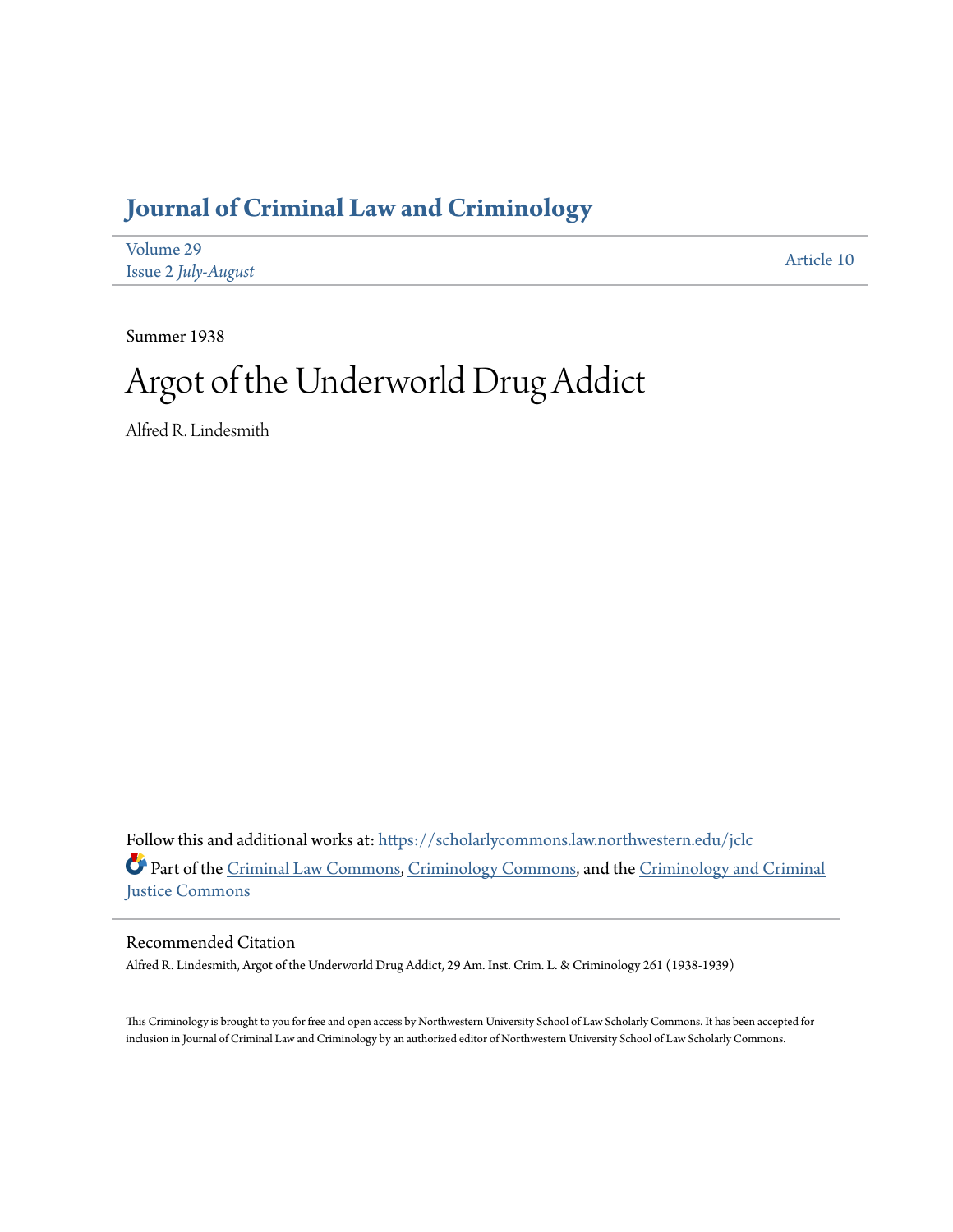# **[Journal of Criminal Law and Criminology](https://scholarlycommons.law.northwestern.edu/jclc?utm_source=scholarlycommons.law.northwestern.edu%2Fjclc%2Fvol29%2Fiss2%2F10&utm_medium=PDF&utm_campaign=PDFCoverPages)**

| Volume 29           | Article 10 |
|---------------------|------------|
| Issue 2 July-August |            |

Summer 1938

# Argot of the Underworld Drug Addict

Alfred R. Lindesmith

Follow this and additional works at: [https://scholarlycommons.law.northwestern.edu/jclc](https://scholarlycommons.law.northwestern.edu/jclc?utm_source=scholarlycommons.law.northwestern.edu%2Fjclc%2Fvol29%2Fiss2%2F10&utm_medium=PDF&utm_campaign=PDFCoverPages) Part of the [Criminal Law Commons](http://network.bepress.com/hgg/discipline/912?utm_source=scholarlycommons.law.northwestern.edu%2Fjclc%2Fvol29%2Fiss2%2F10&utm_medium=PDF&utm_campaign=PDFCoverPages), [Criminology Commons](http://network.bepress.com/hgg/discipline/417?utm_source=scholarlycommons.law.northwestern.edu%2Fjclc%2Fvol29%2Fiss2%2F10&utm_medium=PDF&utm_campaign=PDFCoverPages), and the [Criminology and Criminal](http://network.bepress.com/hgg/discipline/367?utm_source=scholarlycommons.law.northwestern.edu%2Fjclc%2Fvol29%2Fiss2%2F10&utm_medium=PDF&utm_campaign=PDFCoverPages) [Justice Commons](http://network.bepress.com/hgg/discipline/367?utm_source=scholarlycommons.law.northwestern.edu%2Fjclc%2Fvol29%2Fiss2%2F10&utm_medium=PDF&utm_campaign=PDFCoverPages)

### Recommended Citation

Alfred R. Lindesmith, Argot of the Underworld Drug Addict, 29 Am. Inst. Crim. L. & Criminology 261 (1938-1939)

This Criminology is brought to you for free and open access by Northwestern University School of Law Scholarly Commons. It has been accepted for inclusion in Journal of Criminal Law and Criminology by an authorized editor of Northwestern University School of Law Scholarly Commons.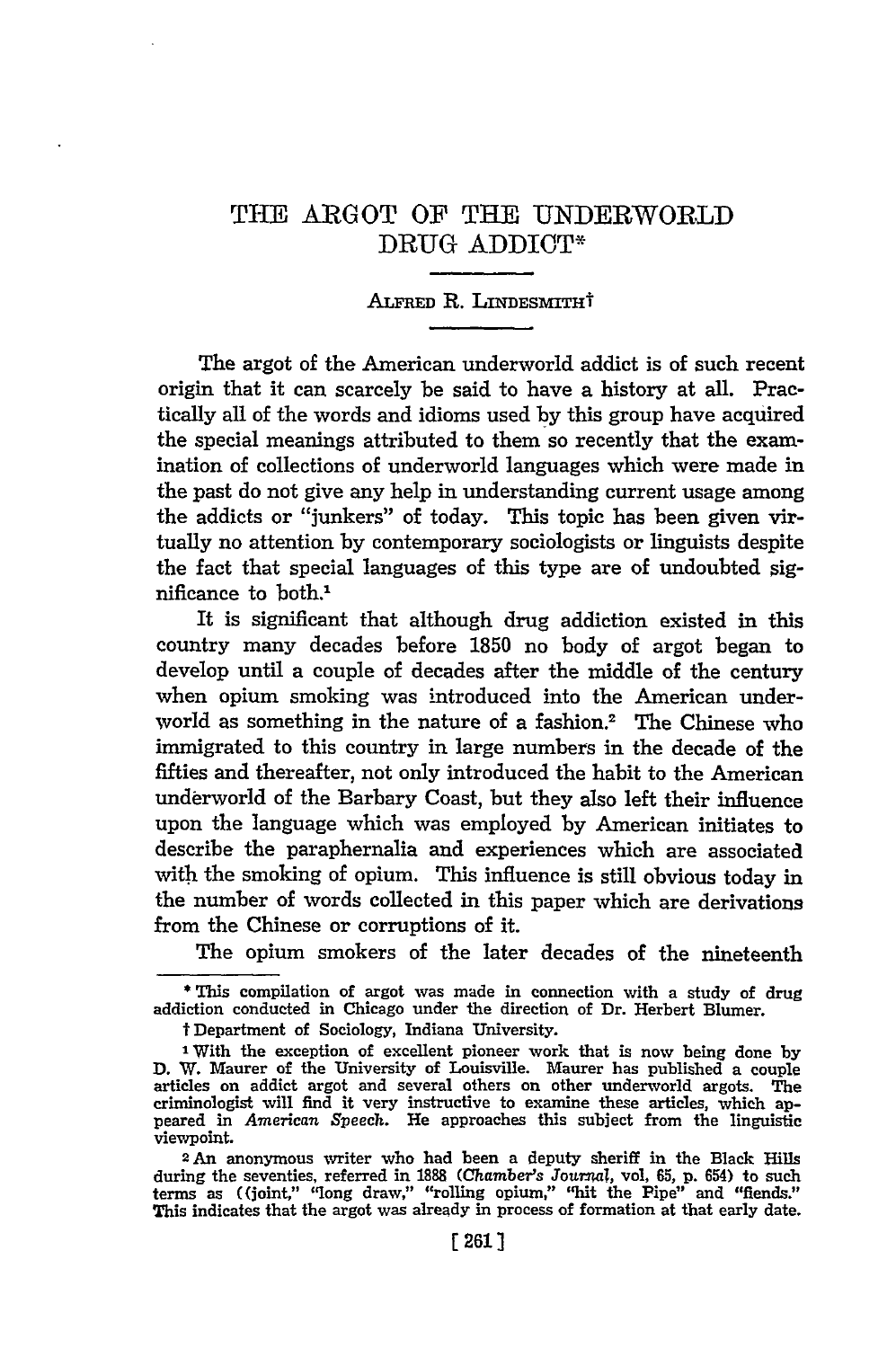## THE ARGOT OF THE UNDERWORLI) DRUG ADDICT\*

#### ALFRED R. LINDESMITHT

The argot of the American underworld addict is of such recent origin that it can scarcely be said to have a history at all. Practically all of the words and idioms used by this group have acquired the special meanings attributed to them so recently that the examination of collections of underworld languages which were made in the past do not give any help in understanding current usage among the addicts or "junkers" of today. This topic has been given virtually no attention by contemporary sociologists or linguists despite the fact that special languages of this type are of undoubted significance to both.'

It is significant that although drug addiction existed in this country many decades before 1850 no body of argot began to develop until a couple of decades after the middle of the century when opium smoking was introduced into the American underworld as something in the nature of a fashion.<sup>2</sup> The Chinese who immigrated to this country in large numbers in the decade of the fifties and thereafter, not only introduced the habit to the American underworld of the Barbary Coast, but they also left their influence upon the language which was employed by American initiates to describe the paraphernalia and experiences which are associated with the smoking of opium. This influence is still obvious today in the number of words collected in this paper which are derivations from the Chinese or corruptions of it.

The opium smokers of the later decades of the nineteenth

**\*** This compilation of argot was made in connection with a study of drug addiction conducted in Chicago under the direction of Dr. Herbert Blumer.

tDepartment of Sociology, Indiana University.

**<sup>1</sup>** With the exception of excellent pioneer work that is now being done **by D.** W. Maurer of the University of Louisville. Maurer has published a couple articles on addict argot and several others **on** other underworld argots. The criminologist will find it very instructive to examine these articles, which appeared in *American Speech.* He approaches this subject from the linguistic viewpoint.

<sup>2</sup>An anonymous writer who had been a deputy sheriff in the Black Hills during the seventies, referred in 1888 (Chamber's Journal, vol. 65, p. 654) to such terms as ((joint," "long draw," "rolling opium," "hit the Pipe" and "fiends." This indicates that the argot was already in process of formation at that early date.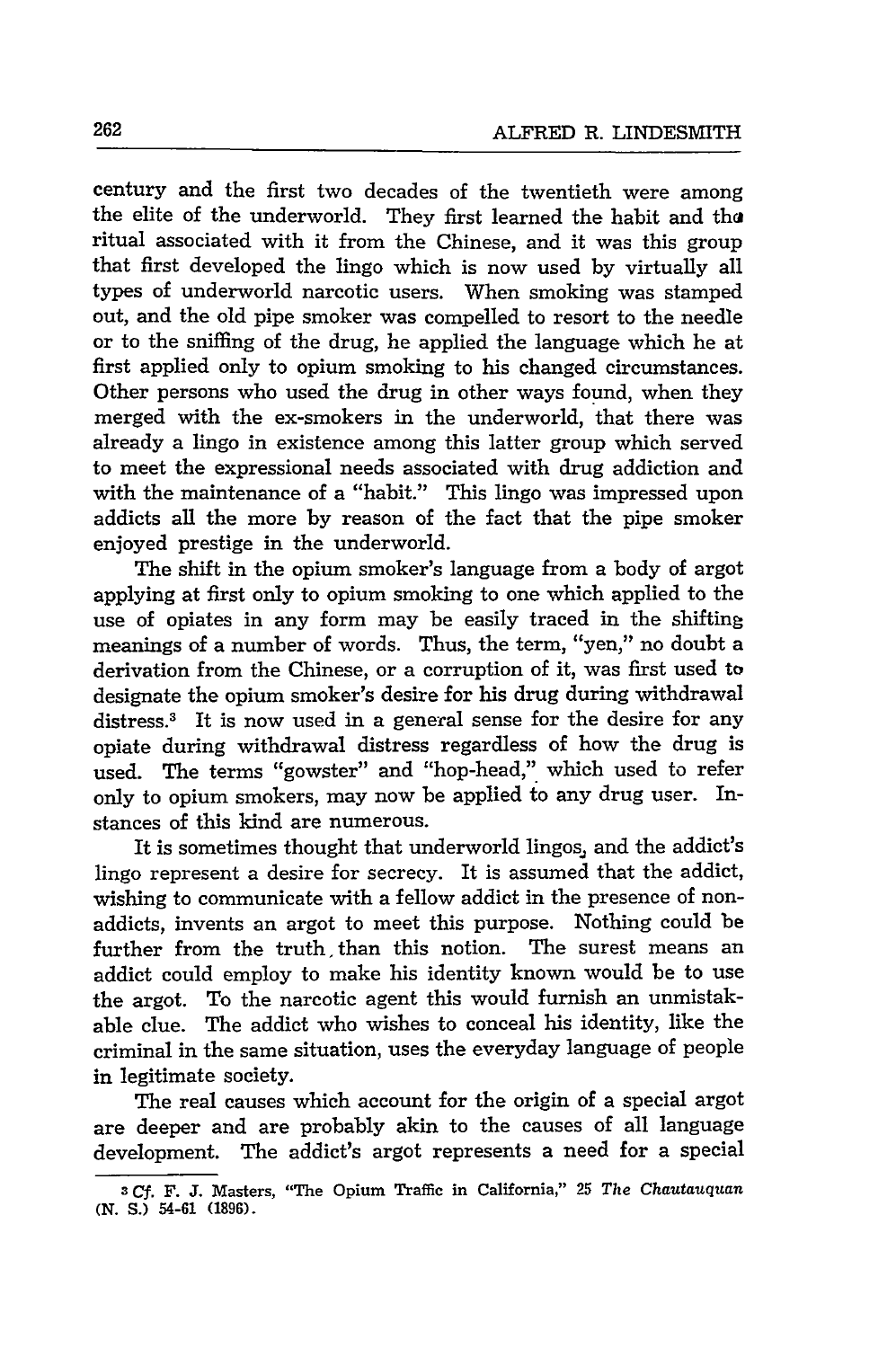century and the first two decades of the twentieth were among the elite of the underworld. They first learned the habit and *tha* ritual associated with it from the Chinese, and it was this group that first developed the lingo which is now used by virtually all types of underworld narcotic users. When smoking was stamped out, and the old pipe smoker was compelled to resort to the needle or to the sniffing of the drug, he applied the language which he at first applied only to opium smoking to his changed circumstances. Other persons who used the drug in other ways found, when they merged with the ex-smokers in the underworld, that there was already a lingo in existence among this latter group which served to meet the expressional needs associated with drug addiction and with the maintenance of a "habit." This lingo was impressed upon addicts all the more by reason of the fact that the pipe smoker enjoyed prestige in the underworld.

The shift in the opium smoker's language from a body of argot applying at first only to opium smoking to one which applied to the use of opiates in any form may be easily traced in the shifting meanings of a number of words. Thus, the term, "yen," no doubt a derivation from the Chinese, or a corruption of it, was first used to designate the opium smoker's desire for his drug during withdrawal distress.<sup>3</sup> It is now used in a general sense for the desire for any opiate during withdrawal distress regardless of how the drug is used. The terms "gowster" and "hop-head," which used to refer only to opium smokers, may now be applied to any drug user. Instances of this kind are numerous.

It is sometimes thought that underworld lingos, and the addict's lingo represent a desire for secrecy. It is assumed that the addict, wishing to communicate with a fellow addict in the presence of nonaddicts, invents an argot to meet this purpose. Nothing could be further from the truth, than this notion. The surest means an addict could employ to make his identity known would be to use the argot. To the narcotic agent this would furnish an unmistakable clue. The addict who wishes to conceal his identity, like the criminal in the same situation, uses the everyday language of people in legitimate society.

The real causes which account for the origin of a special argot are deeper and are probably akin to the causes of all language development. The addict's argot represents a need for a special

**<sup>3</sup>***Cf.* F. **J.** Masters, "The Opium Traffic in California," 25 *The Chautauquan* **(N. S.)** 54-61 **(1896).**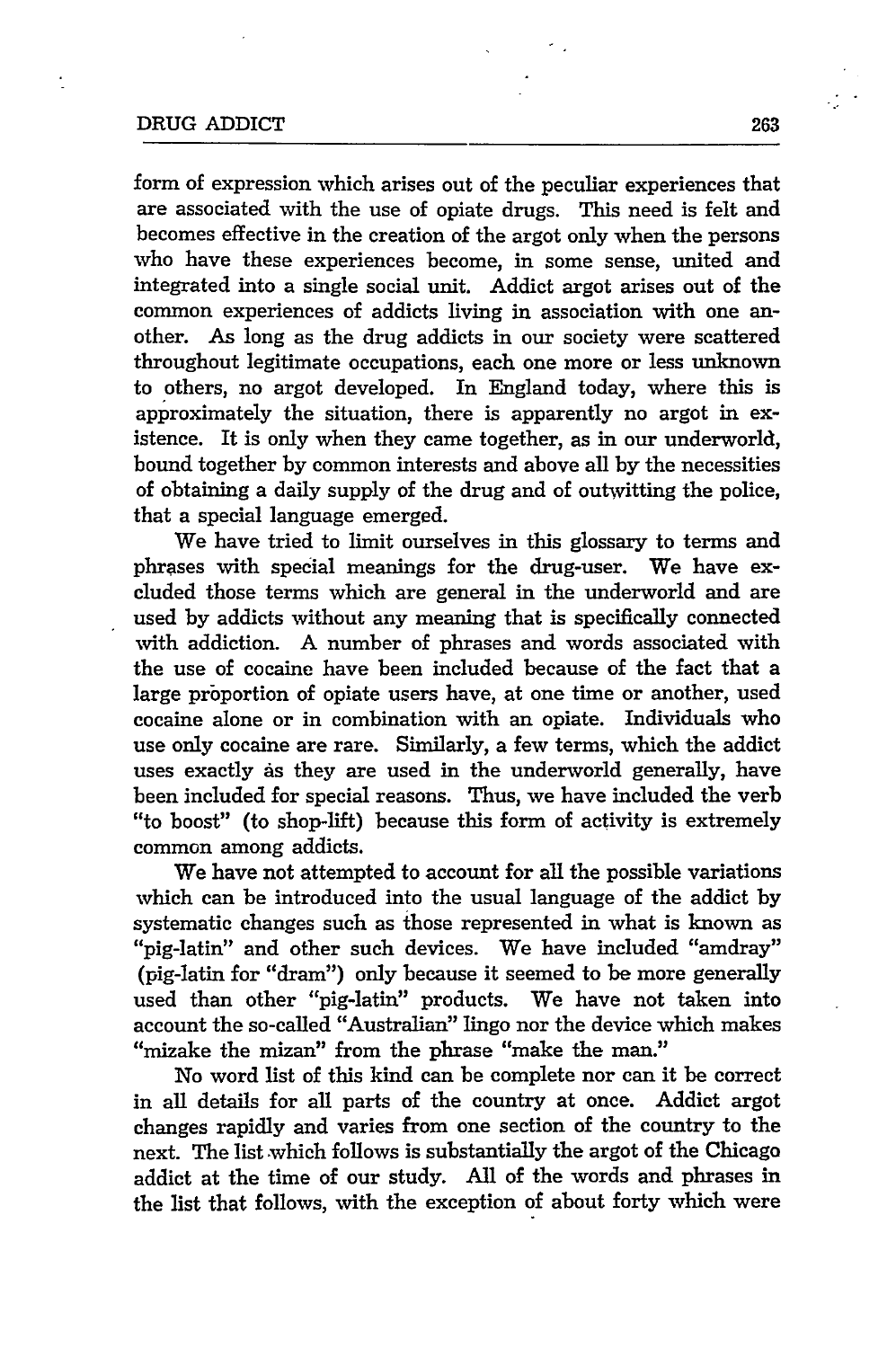#### DRUG ADDICT 263

form of expression which arises out of the peculiar experiences that are associated with the use of opiate drugs. This need is felt and becomes effective in the creation of the argot only when the persons who have these experiences become, in some sense, united and integrated into a single social unit. Addict argot arises out of the common experiences of addicts living in association with one another. As long as the drug addicts in our society were scattered throughout legitimate occupations, each one more or less unknown to others, no argot developed. In England today, where this is approximately the situation, there is apparently no argot in existence. It is only when they came together, as in our underworld, bound together by common interests and above all by the necessities of obtaining a daily supply of the drug and of outwitting the police, that a special language emerged.

We have tried to limit ourselves in this glossary to terms and phrases with special meanings for the drug-user. We have excluded those terms which are general in the underworld and are used by addicts without any meaning that is specifically connected with addiction. A number of phrases and words associated with the use of cocaine have been included because of the fact that a large proportion of opiate users have, at one time or another, used cocaine alone or in combination with an opiate. Individuals who use only cocaine are rare. Similarly, a few terms, which the addict uses exactly as they are used in the underworld generally, have been included for special reasons. Thus, we have included the verb "to boost" (to shop-lift) because this form of activity is extremely common among addicts.

We have not attempted to account for all the possible variations which can be introduced into the usual language of the addict by systematic changes such as those represented in what is known as "pig-latin" and other such devices. We have included "amdray" (pig-latin for "dram") only because it seemed to be more generally used than other "pig-latin" products. We have not taken into account the so-called "Australian" lingo nor the device which makes "mizake the mizan" from the phrase "make the man."

No word list of this kind can be complete nor can it be correct in all details for all parts of the country at once. Addict argot changes rapidly and varies from one section of the country to the next. The list which follows is substantially the argot of the Chicago addict at the time of our study. All of the words and phrases in the list that follows, with the exception of about forty which were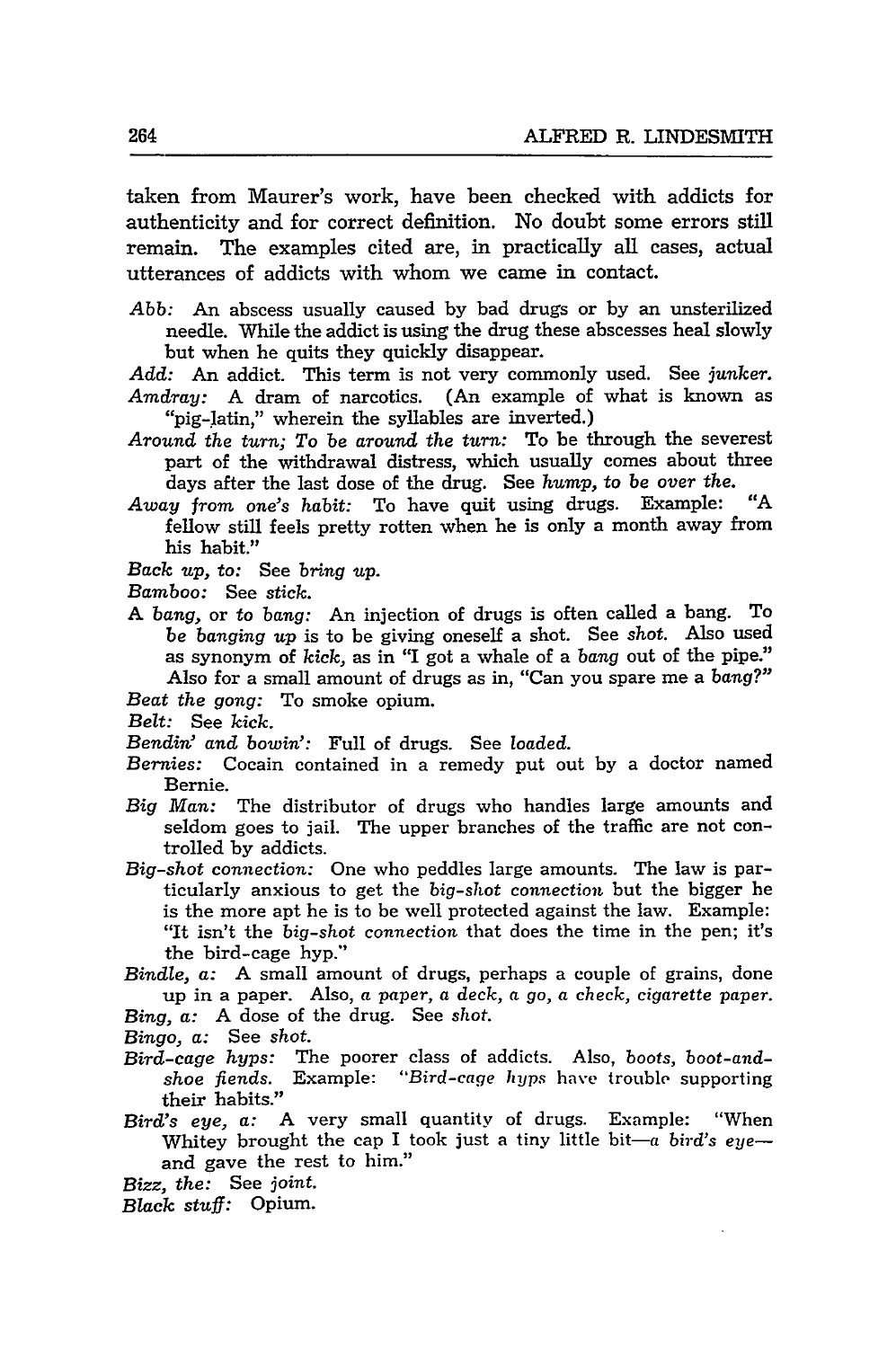taken from Maurer's work, have been checked with addicts for authenticity and for correct definition. No doubt some errors still remain. The examples cited are, in practically all cases, actual utterances of addicts with whom we came in contact.

*Abb:* An abscess usually caused by bad drugs or by an unsterilized needle. While the addict is using the drug these abscesses heal slowly but when he quits they quickly disappear.

*Add:* An addict. This term is not very commonly used. See *junker. Amdray:* A dram of narcotics. (An example of what is known as "pig-latin," wherein the syllables are inverted.)

- *Around the turn;* To be *around the turn:* To be through the severest part of the withdrawal distress, which usually comes about three days after the last dose of the drug. See *hump,* to be *over* the.
- *Away from one's habit:* To have quit using drugs. Example: "A fellow still feels pretty rotten when he is only a month away from his habit."
- *Back up,* to: See *bring up.*
- *Bamboo:* See stick.
- **A** *bang,* or to *bang:* An injection of drugs is often called a bang. To *be banging* up is to be giving oneself a shot. See *shot.* Also used as synonym of *kick,* as in "I got a whale of a *bang* out of the pipe." Also for a small amount of drugs as in, "Can you spare me a *bang?"*
- *Beat the gong:* To smoke opium.
- *Belt:* See *kick.*
- *Bendin' and bowin':* Full of drugs. See *loaded.*
- *Bernies:* Cocain contained in a remedy put out by a doctor named Bernie.
- *Big Man:* The distributor of drugs who handles large amounts and seldom goes to jail. The upper branches of the traffic are not controlled by addicts.
- *Big-shot connection:* One who peddles large amounts. The law is particularly anxious to get the *big-shot connection* but the bigger be is the more apt he is to be well protected against the law. Example: "It isn't the *big-shot connection* that does the time in the pen; it's the bird-cage hyp."

*Bindle,* a: A small amount of drugs, perhaps a couple of grains, done up in a paper. Also, a *paper, a deck, a go, a check, cigarette paper.*

*Bing, a:* A dose of the drug. See *shot.*

- *Bingo,* a: See *shot.*
- *Bird-cage hyps:* The poorer class of addicts. Also, *boots, boot-andshoe fiends.* Example: *"Bird-cage* hyps have trouble supporting their habits."
- *Bird's eye,* a: A very small quantity of drugs. Example: "When Whitey brought the cap I took just a tiny little bit-a bird's eyeand gave the rest to him."

*Bizz, the:* See *joint.*

Black *stuff:* Opium.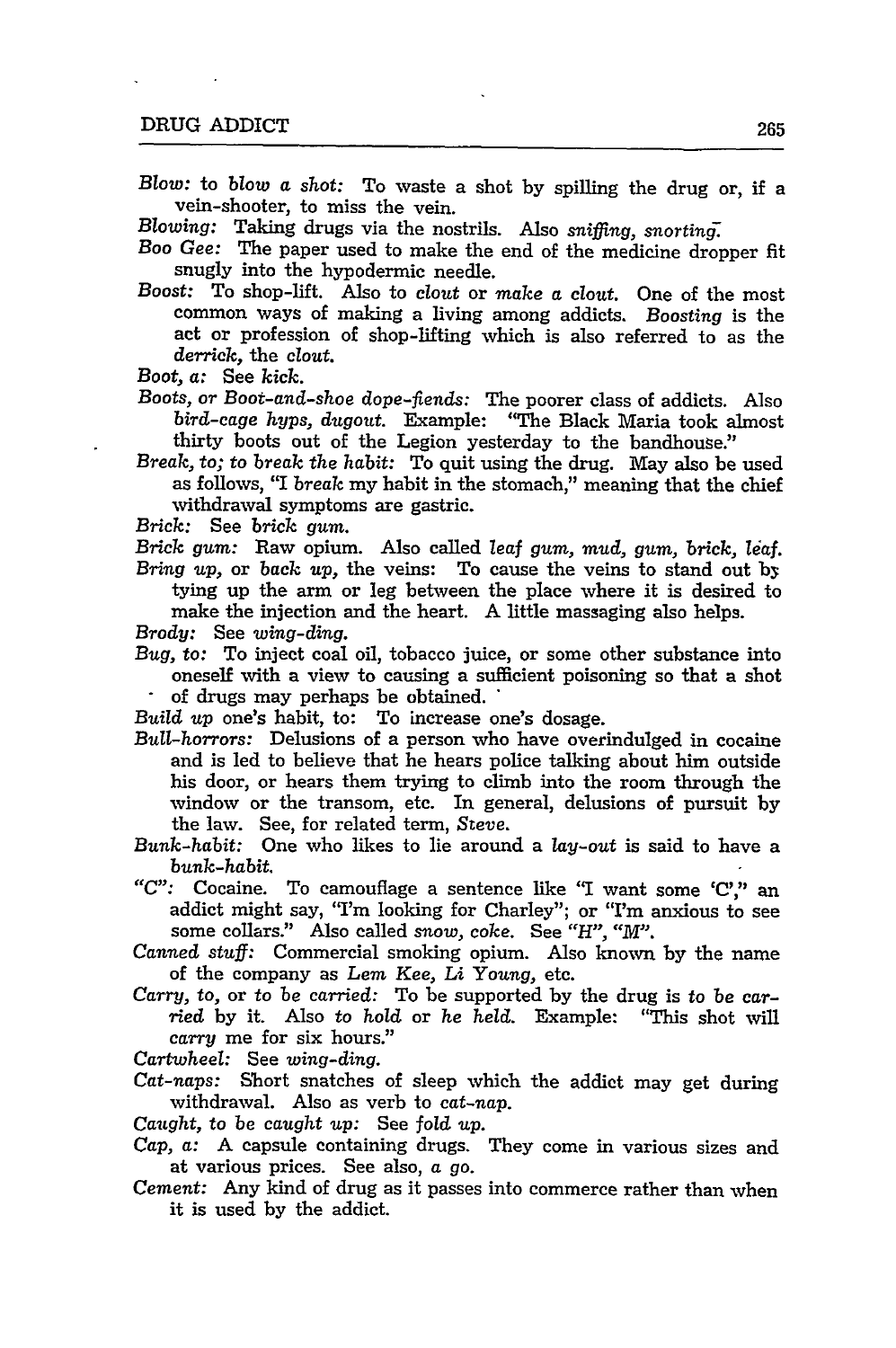*Blow:* to *blow* a shot: To waste a shot by spilling the drug or, if a vein-shooter, to miss the vein.

*Blowing:* Taking drugs via the nostrils. Also *sniffing, snorting*

- *Boo Gee:* The paper used to make the end of the medicine dropper fit snugly into the hypodermic needle.
- Boost: To shop-lift. Also to *clout* or *make* a clout. One of the most common ways of making a living among addicts. *Boosting* is the act or profession of shop-lifting which is also referred to as the *derrick,* the clout.
- Boot, *a:* See *kick.*
- *Boots,* or Boot-and-shoe *dope-fiends:* The poorer class of addicts. Also *bird-cage hyps, dugout.* Example: "The Black Maria took almost thirty boots out of the Legion yesterday to the bandhouse."
- *Break,* to; to *break* the *habit:* To quit using the drug. May also be used as follows, "I *break* my habit in the stomach," meaning that the chief withdrawal symptoms are gastric.
- *Brick:* See brick *gum.*
- *Brick gum:* Raw opium. Also called *leaf gum, mud, gum, brick, leaf. Bring up,* or *back* up, the veins: To cause the veins to stand out by tying up the arm or leg between the place where it is desired to make the injection and the heart. A little massaging also helps.
- *Brody:* See *wing-ding.*
- *Bug,* to: To inject coal oil, tobacco juice, or some other substance into oneself with a view to causing a sufficient poisoning so that a shot  $\ddot{\phantom{0}}$ of drugs may perhaps be obtained. "
- *Build* up one's habit, to: To increase one's dosage.
- *Bull-horrors:* Delusions of a person who have overindulged in cocaine and is led to believe that he hears police talking about him outside his door, or hears them trying to climb into the room through the window or the transom, etc. In general, delusions of pursuit by the law. See, for related term, *Steve.*
- *Bunk-habit:* One who likes to lie around a lay-out is said to have a *bunk-habit.*
- *"C":* Cocaine. To camouflage a sentence like **'I** want some 'C'," an addict might say, 'I'm looking for Charley"; or "I'm anxious to see some collars." Also called snow, coke. See *"H". "M".*
- *Canned stuff:* Commercial smoking opium. Also known by the name of the company as *Lem* Kee, *Li Young,* etc.
- *Carry,* to, or to *be* carried: To be supported by the drug is to be carried by it. Also to hold or he held. Example: "This shot will *carry* me for six hours."

Cartwheel: See *wing-ding.*

- *Cat-naps:* Short snatches of sleep which the addict may get during withdrawal. Also as verb to *cat-nap.*
- *Caught,* to be *caught up:* See fold *up.*
- *Cap,* a: A capsule containing drugs. They come in various sizes and at various prices. See also, a go.
- *Cement:* Any kind of drug as it passes into commerce rather than when it is used by the addict.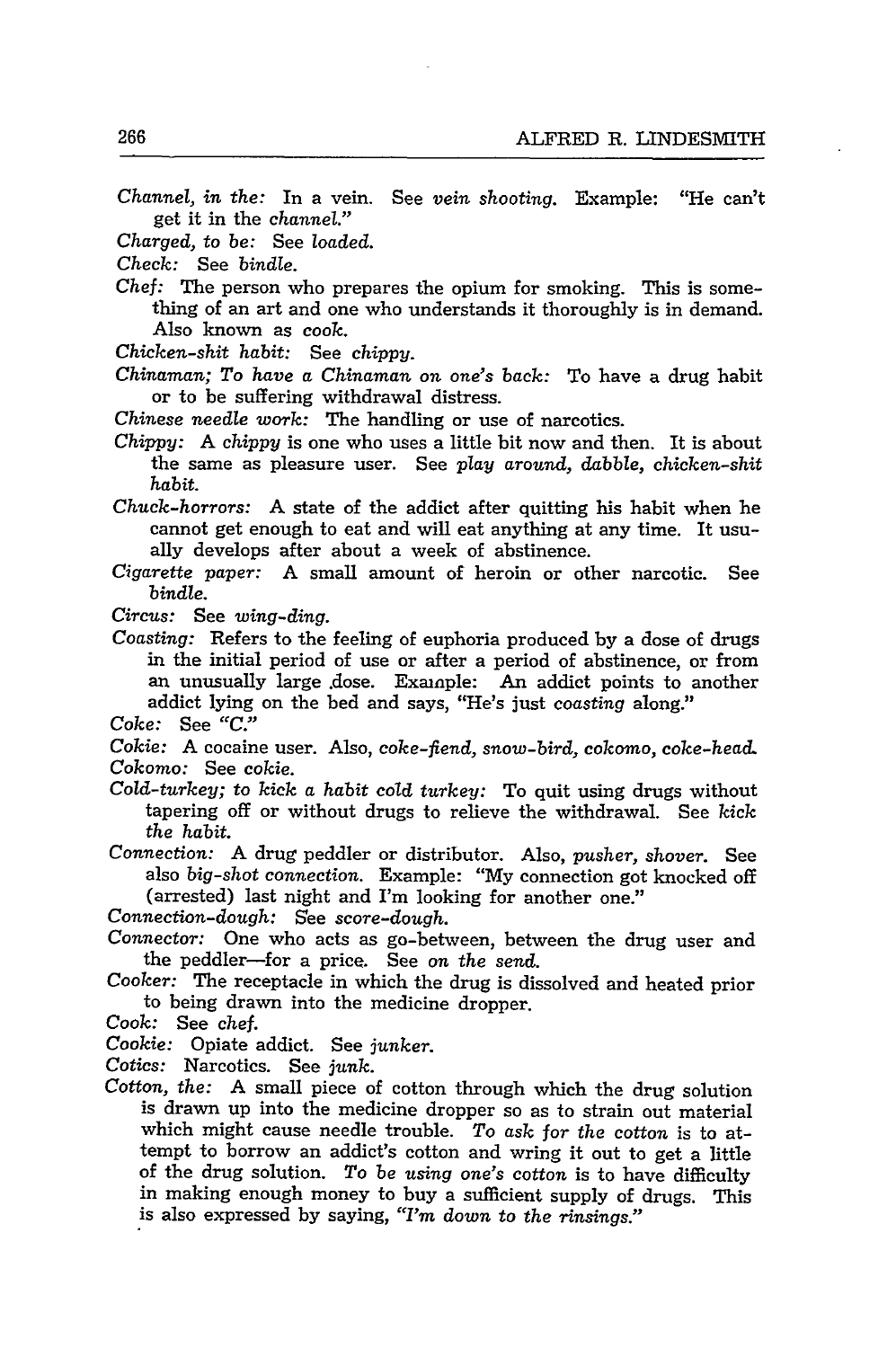*Channel, in the:* In a vein. See *vein shooting.* Example: "He can't get it in the *channel."*

- *Charged, to be:* See *loaded.*
- *Check:* See *bindle.*
- *Chef:* The person who prepares the opium for smoking. This is some-<br>thing of an art and one who understands it thoroughly is in demand. Also known as cook.
- *Chicken-shit habit:* See *chippy.*
- *Chinaman; To have a Chinaman on one's back:* To have a drug habit or to be suffering withdrawal distress.
- *Chinese needle work:* The handling or use of narcotics.
- *Chippy:* A *chippy* is one who uses a little bit now and then. It is about the same as pleasure user. See *play around, dabble, chicken-shit habit.*
- *Chuck-horrors:* A state of the addict after quitting his habit when he cannot get enough to eat and will eat anything at any time. It usu- ally develops after about a week of abstinence.
- *Cigarette paper:* A small amount of heroin or other narcotic. See *bindle.*
- *Circus:* See *wing-ding.*
- *Coasting:* Refers to the feeling of euphoria produced by a dose of drugs in the initial period of use or after a period of abstinence, or from an unusually large .dose. Example: An addict points to another addict lying on the bed and says, "He's just *coasting* along."
- *Coke:* See *"C."*
- *Cokie:* A cocaine user. Also, coke-fiend, *snow-bird, cokomo, coke-head. Cokomo:* See *cokie.*
- *Cold-turkey; to kick a habit cold turkey:* To quit using drugs without tapering off or without drugs to relieve the withdrawal. See *kick the habit.*

*Connection:* A drug peddler or distributor. Also, *pusher, shover.* See also *big-shot connection.* Example: "My connection got knocked off (arrested) last night and I'm looking for another one."

*Connection-dough:* See *score-dough.*

- *Connector:* One who acts as go-between, between the drug user and the peddler-for a price. See *on the send.*
- *Cooker:* The receptacle in which the drug is dissolved and heated prior to being drawn into the medicine dropper.
- *Cook:* See chef.

*Cookie:* Opiate addict. See *junker.*

- Cotics: Narcotics. See *junk.*
- *Cotton, the:* A small piece of cotton through which the drug solution is drawn up into the medicine dropper so as to strain out material which might cause needle trouble. *To ask for the* cotton is to attempt to borrow an addict's cotton and wring it out to get a little of the drug solution. *To be using one's* cotton is to have difficulty in making enough money to buy a sufficient supply of drugs. This is also expressed by saying, *"I'm down to the rinsings."*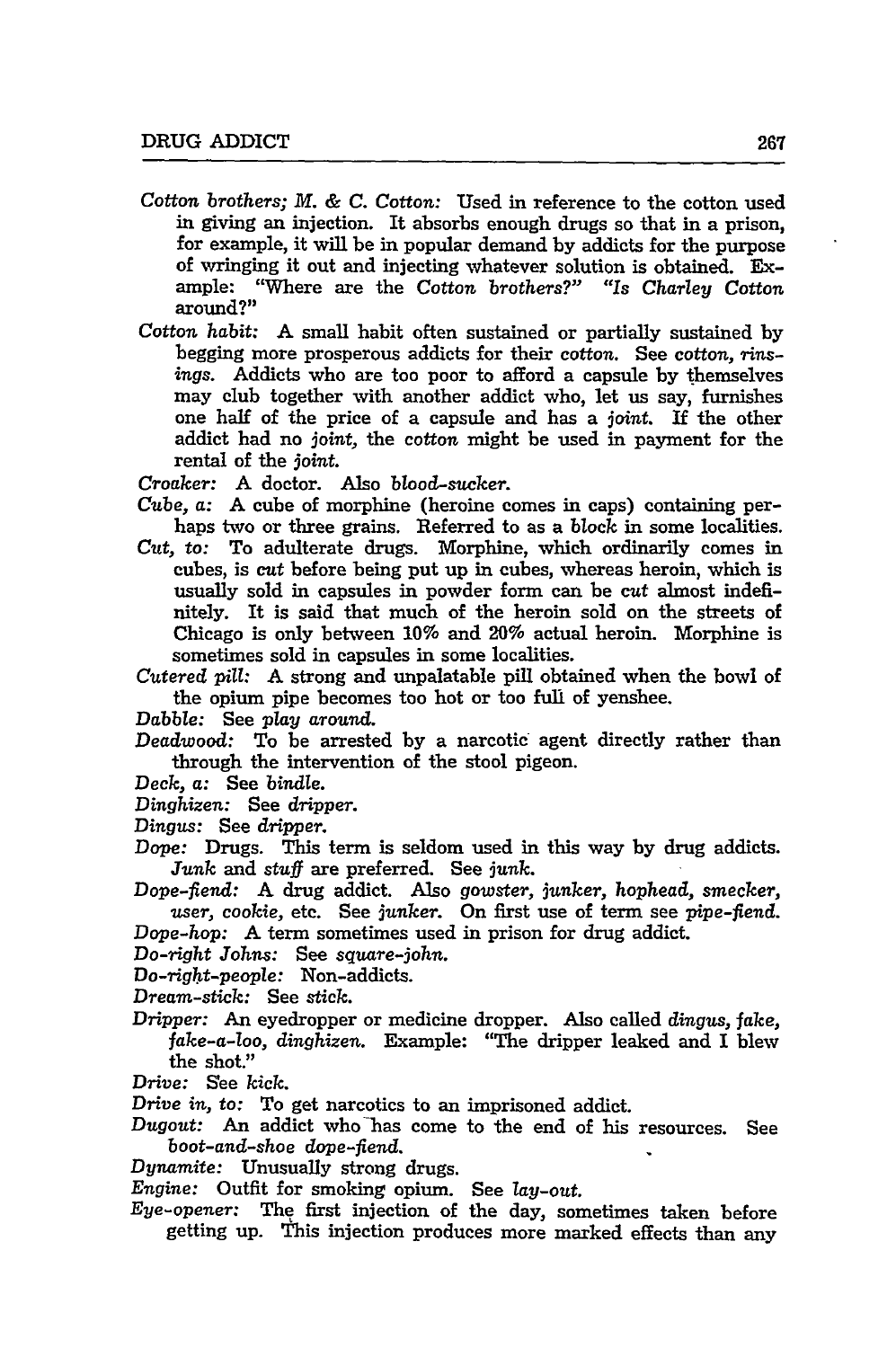- Cotton *brothers; M. & C.* Cotton: Used in reference to the cotton used in giving an injection. It absorbs enough drugs so that in a prison, for example, it will be in popular demand **by** addicts for the purpose of wringing it out and injecting whatever solution is obtained. Example: "Where are the Cotton brothers?" *"Is Charley Cotton* around?"
- *Cotton habit:* A small habit often sustained or partially sustained by begging more prosperous addicts for their cotton. See cotton, rinsings. Addicts who are too poor to afford a capsule by themselves may club together with another addict who, let us say, furnishes one half of the price of a capsule and has a joint. **If** the other addict had no joint, the cotton might be used in payment for the rental of the *joint.*

Croaker: A doctor. Also blood-sucker.

- *Cube,* a: A cube of morphine (heroine comes in caps) containing perhaps two or three grains. Referred to as a block in some localities.
- *Cut,* to: To adulterate drugs. Morphine, which ordinarily comes in cubes, is cut before being put up in cubes, whereas heroin, which is usually sold in capsules in powder form can be cut almost indefinitely. It is said that much of the heroin sold on the streets of Chicago is only between 10% and 20% actual heroin. Morphine is sometimes sold in capsules in some localities.
- *Cutered* pill: A strong and unpalatable pill obtained when the bowl of the opium pipe becomes too hot or too full of yenshee.

*Dabble:* See *play* around.

- *Deadwood:* To be arrested by a narcotic agent directly rather than through the intervention of the stool pigeon.
- *Deck,* a: See bindle.

*Dinghizen:* See dripper.

- *Dingus:* See dripper.
- Dope: Drugs. This term is seldom used in this way by drug addicts. *Junk* and stuff are preferred. See junk.
- Dope-fiend: A drug addict. Also gowster, junker, *hophead,* smecker, user, cookie, etc. See junker. On first use of term see pipe-fiend. Dope-hop: A term sometimes used in prison for drug addict.
- 

*Do-right Johns:* See square-john.

*Do-right-people:* Non-addicts.

- Dream-stick: See stick.
- Dripper: An eyedropper or medicine dropper. Also called dingus, fake, fake-a-loo, dinghizen. Example: "The dripper leaked and I blew the shot."
- *Drive:* See *kick.*
- Drive *in,* to: To get narcotics to an imprisoned addict.
- Dugout: An addict who has come to the end of his resources. See boot-and-shoe dope-fiend.
- Dynamite: Unusually strong drugs.
- *Engine:* Outfit for smoking opium. See lay-out.
- Eye-opener: The first injection of the day, sometimes taken before getting up. This injection produces more marked effects than any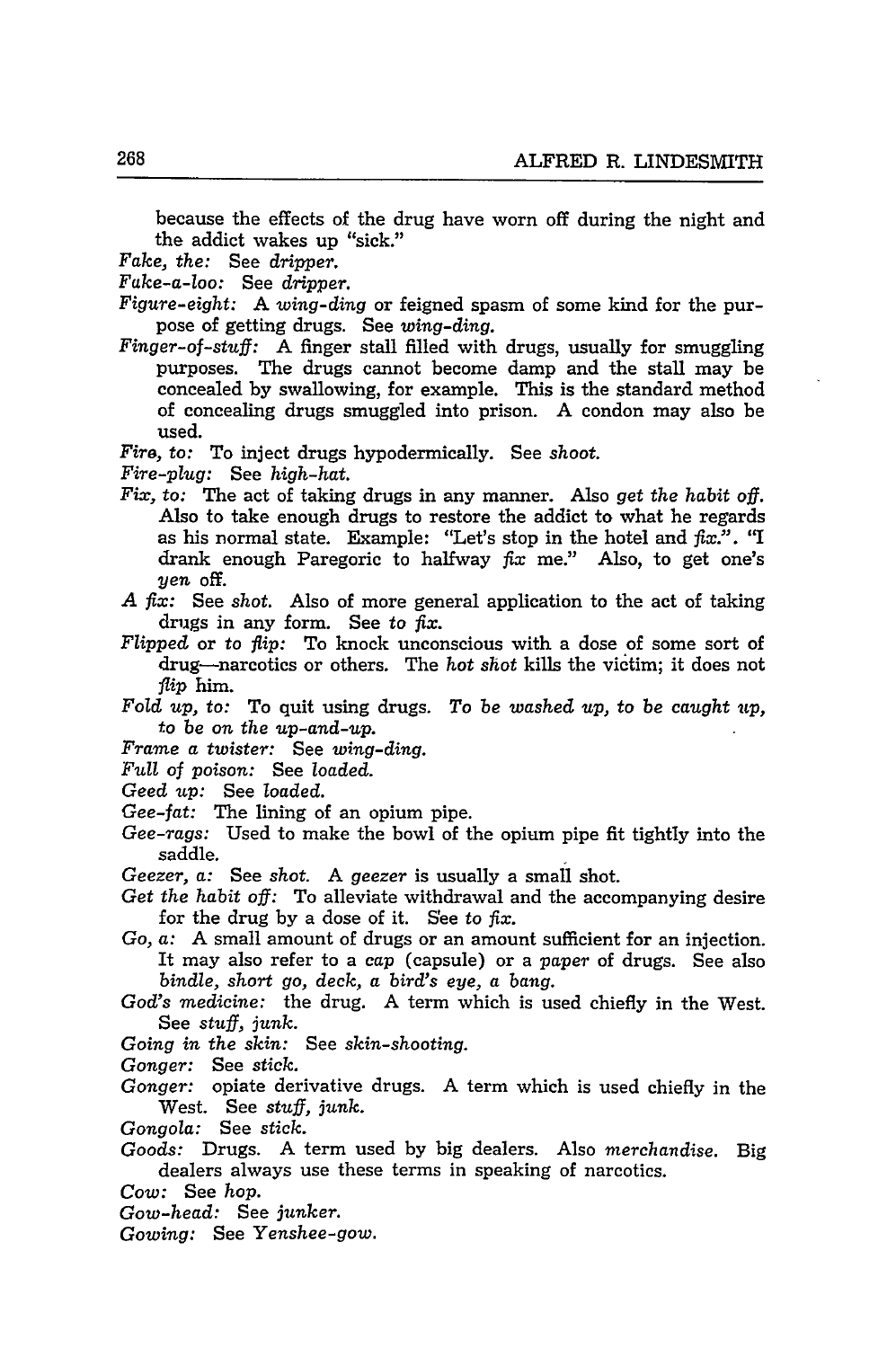because the effects of the drug have worn off during the night and the addict wakes up "sick."

*Fake, the:* See *dripper.*

*Fake-a-loo:* See *dripper.*

- *Figure-eight:* A *wing-ding* or feigned spasm of some kind for the purpose of getting drugs. See *wing-ding.*
- *Finger-of-stuff:* A finger stall filled with drugs, usually for smuggling purposes. The drugs cannot become damp and the stall may be concealed by swallowing, for example. This is the standard method of concealing drugs smuggled into prison. A condon may also be used.

*Fire,* to: To inject drugs hypodermically. See *shoot.*

*Fire-plug:* See *high-hat.*

- *Fix,* to: The act of taking drugs in any manner. Also *get the habit off.* Also to take enough drugs to restore the addict **to** what he regards as his normal state. Example: "Let's stop in the hotel and fix.". *"I* drank enough Paregoric to halfway *fix* me." Also, to get one's *yen* off.
- *A fix:* See *shot.* Also of more general application to the act of taking drugs in any form. See *to fix.*
- *Flipped* or to *flip:* To knock unconscious with a dose of some sort of drug-narcotics or others. The *hot shot* kills the victim; it does not *flip* him.
- Fold *up, to:* To quit using drugs. *To be washed up, to be caught up, to be on the up-and-up.*

*Frame a twister:* See *wing-ding.*

*Full of poison:* See *loaded.*

- *Geed up:* See *loaded.*
- *Gee-fat:* The lining of an opium pipe.
- *Gee-rags:* Used to make the bowl of the opium pipe fit tightly into the saddle.
- *Geezer, a:* See shot. A *geezer* is usually a small shot.
- *Get the habit off:* To alleviate withdrawal and the accompanying desire for the drug by a dose of it. See to *fix.*
- *Go, a:* A small amount of drugs or an amount sufficient for an injection. It may also refer to a *cap* (capsule) or a *paper* of drugs. See also *bindle, short go, deck, a bird's eye, a bang.*
- *God's medicine:* the drug. A term which is used chiefly in the West. See *stuff, junk.*
- *Going in the skin:* See *skin-shooting.*
- *Gonger:* See *stick.*
- *Gonger:* opiate derivative drugs. A term which is used chiefly in the West. See *stuff, junk.*
- *Gongola:* See *stick.*
- *Goods:* Drugs. A term used by big dealers. Also *merchandise.* Big dealers always use these terms in speaking of narcotics.
- *Cow:* See *hop.*
- *Gow-head:* See *junker.*
- *Gowing:* See *Yenshee-gow.*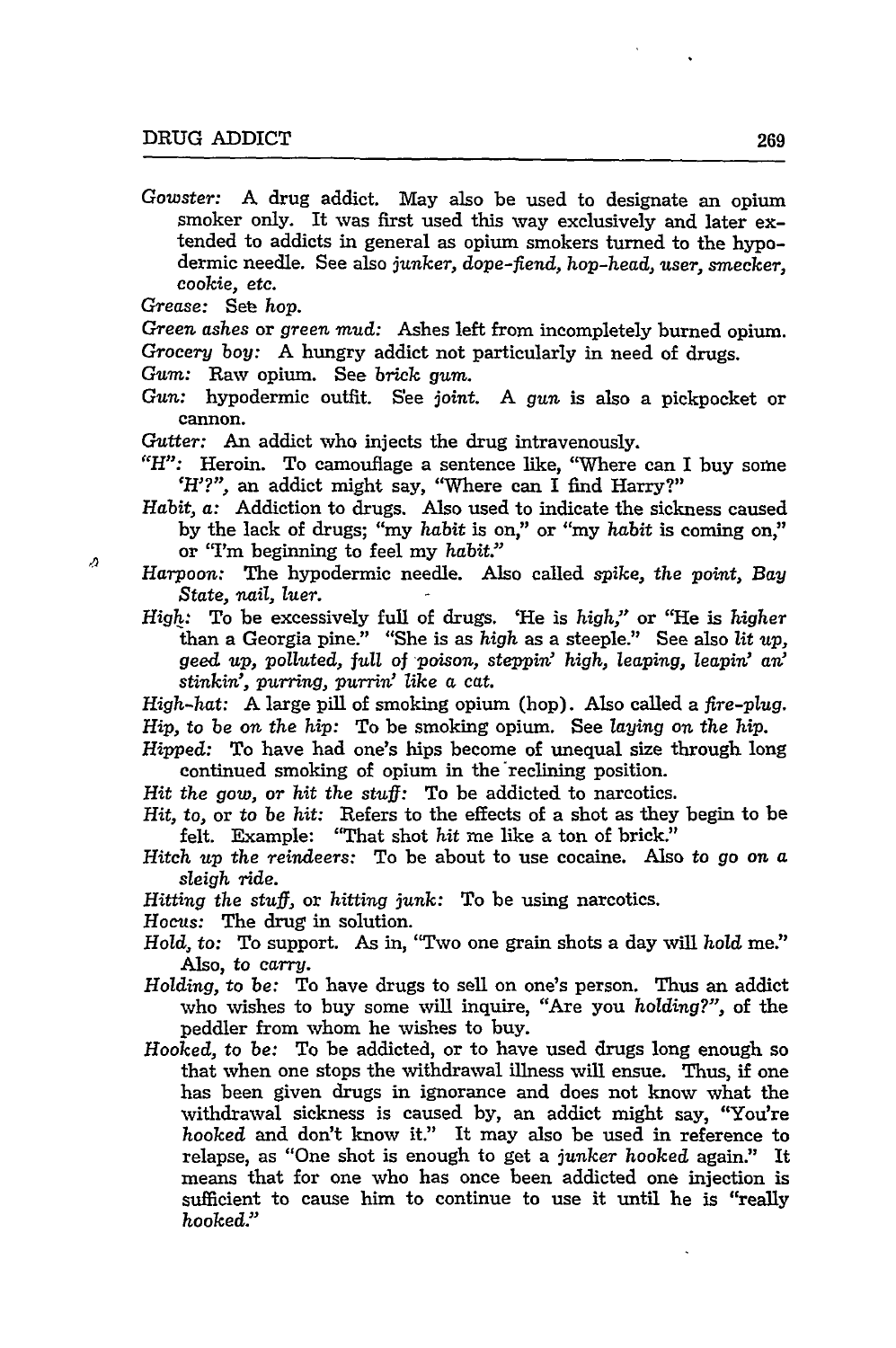*Gowster:* **A** drug addict. May also be used to designate an opium smoker only. It was first used this way exclusively and later extended to addicts in general as opium smokers turned to the hypodermic needle. See also *junker,* dope-fiend, *hop-head,* user, smecker, cookie, etc.

Grease: Set hop.

 $\boldsymbol{\Omega}$ 

Green ashes or green *mud:* Ashes left from incompletely burned opium. Grocery *boy:* A hungry addict not particularly in need of drugs.

*Gum:* Raw opium. See *brick gum.*

- *Gun:* hypodermic outfit. See joint. A *gun* is also a pickpocket or cannon.
- Gutter: An addict who injects the drug intravenously.
- *"H":* Heroin. To camouflage a sentence like, "Where can I buy some 'H'?", an addict might say, "Where can I find Harry?"
- *Habit,* a: Addiction to drugs. Also used to indicate the sickness caused by the lack of drugs; "my *habit* is on," or "my habit is coming on," or "I'm beginning to feel my *habit"*
- *Harpoon:* The hypodermic needle. Also called *spike, the* point, *Bay* State, *nail, luer.*
- *High:* To be excessively full of drugs. 'He is *high,"* or "He is higher than a Georgia pine." "She is as high as a steeple." See also *lit up,* geed *up,* polluted, *full of poison, steppin' high, leaping, leapin' an' stinkin', purring, purrin' like* a cat.

*High-hat:* A large pill of smoking opium (hop). Also called a *fire-plug. Hip,* to be on the hip: To be smoking opium. See *laying on the hip.*

*Hipped:* To have had one's hips become of unequal size through long continued smoking of opium in the reclining position.

*Hit* the *gow,* or *hit* the *stuff:* To be addicted to narcotics.

- *Hit,* to, or to be hit: Refers to the effects of a shot as they begin to be felt. Example: "That shot hit me like a ton of brick."
- *Hitch* up the reindeers: To be about to use cocaine. Also to go on a *sleigh ride.*

*Hitting* the *stuff,* or hitting *junk:* To be using narcotics.

Hocus: The drug in solution.

- *Hold,* to: To support. As in, 'Two one grain shots a day will hold me.' Also, to carry.
- *Holding,* to be: To have drugs to sell on one's person. Thus an addict who wishes to buy some will inquire, "Are you *holding?",* of the peddler from whom he wishes to buy.
- *Hooked,* to be: To be addicted, or to have used drugs long enough so that when one stops the withdrawal illness will ensue. Thus, if one has been given drugs in ignorance and does not know what the withdrawal sickness is caused by, an addict might say, "You're hooked and don't know it." It may also be used in reference to relapse, as "One shot is enough to get a junker hooked again." It means that for one who has once been addicted one injection is sufficient to cause him to continue to use it until he is "really hooked."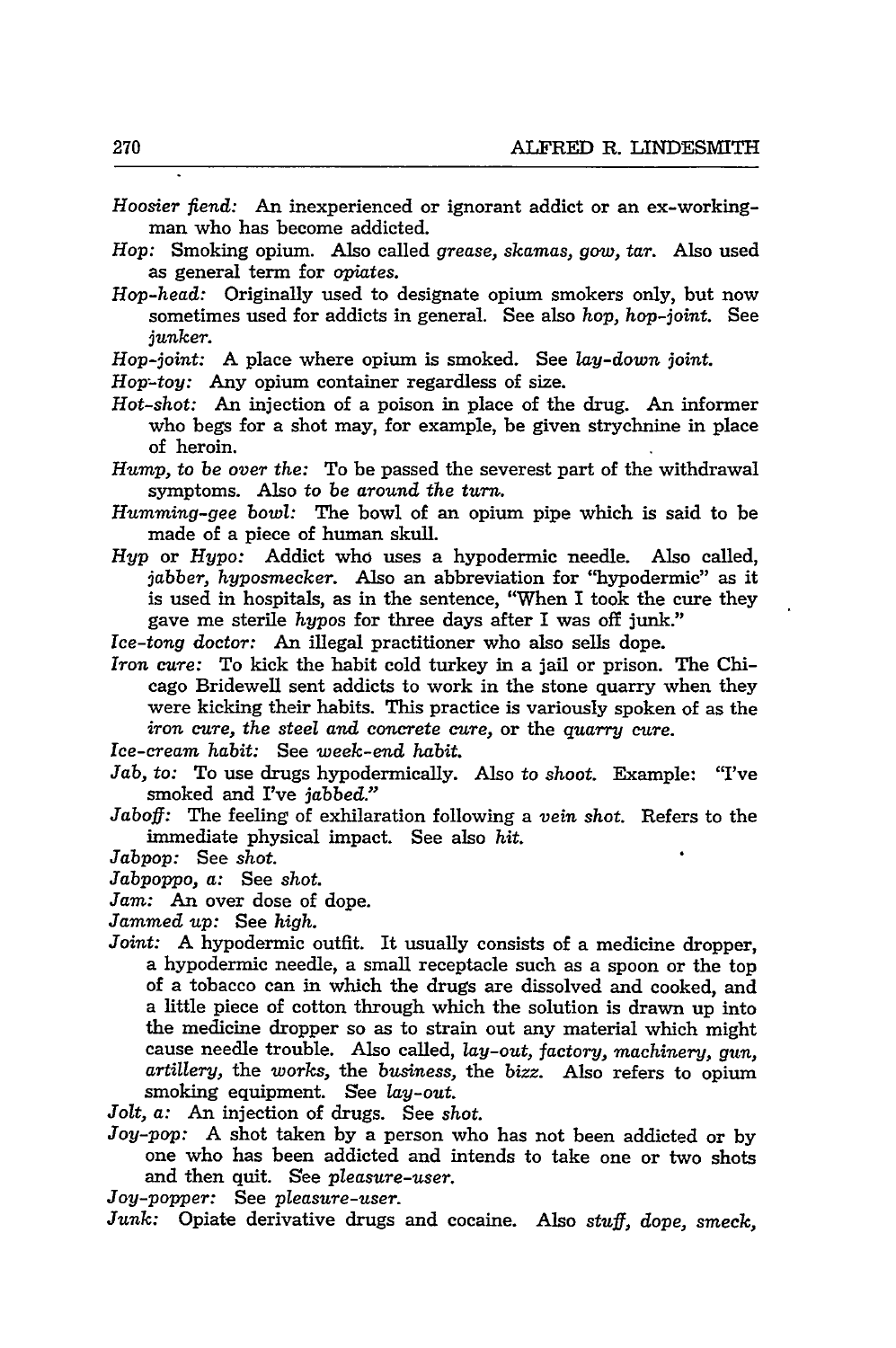$\blacksquare$ 

| Hoosier fiend: An inexperienced or ignorant addict or an ex-working-<br>man who has become addicted.                                                                                                                                                                                                                         |
|------------------------------------------------------------------------------------------------------------------------------------------------------------------------------------------------------------------------------------------------------------------------------------------------------------------------------|
| Hop: Smoking opium. Also called grease, skamas, gow, tar. Also used                                                                                                                                                                                                                                                          |
| as general term for opiates.                                                                                                                                                                                                                                                                                                 |
| Hop-head: Originally used to designate opium smokers only, but now<br>sometimes used for addicts in general. See also hop, hop-joint. See<br>junker.                                                                                                                                                                         |
| Hop-joint: A place where opium is smoked. See lay-down joint.                                                                                                                                                                                                                                                                |
| Hop-toy: Any opium container regardless of size.                                                                                                                                                                                                                                                                             |
| Hot-shot: An injection of a poison in place of the drug. An informer<br>who begs for a shot may, for example, be given strychnine in place<br>of heroin.                                                                                                                                                                     |
| Hump, to be over the: To be passed the severest part of the withdrawal<br>symptoms. Also to be around the turn.                                                                                                                                                                                                              |
| Humming-gee bowl: The bowl of an opium pipe which is said to be<br>made of a piece of human skull.                                                                                                                                                                                                                           |
| Hyp or Hypo: Addict who uses a hypodermic needle. Also called,<br>jabber, hyposmecker. Also an abbreviation for "hypodermic" as it<br>is used in hospitals, as in the sentence, "When I took the cure they<br>gave me sterile hypos for three days after I was off junk."                                                    |
| Ice-tong doctor: An illegal practitioner who also sells dope.                                                                                                                                                                                                                                                                |
| Iron cure: To kick the habit cold turkey in a jail or prison. The Chi-<br>cago Bridewell sent addicts to work in the stone quarry when they<br>were kicking their habits. This practice is variously spoken of as the<br>iron cure, the steel and concrete cure, or the quarry cure.<br>Ice-cream habit: See week-end habit. |
| Jab, to: To use drugs hypodermically. Also to shoot. Example: "I've                                                                                                                                                                                                                                                          |
| smoked and I've <i>iabbed.</i> "                                                                                                                                                                                                                                                                                             |
| Jaboff: The feeling of exhilaration following a vein shot. Refers to the<br>immediate physical impact. See also hit.                                                                                                                                                                                                         |
| Jabpop: See shot.                                                                                                                                                                                                                                                                                                            |
| Jabpoppo, a: See shot.                                                                                                                                                                                                                                                                                                       |
| Jam: An over dose of dope.                                                                                                                                                                                                                                                                                                   |
| Jammed up: See high.                                                                                                                                                                                                                                                                                                         |
| Joint: A hypodermic outfit. It usually consists of a medicine dropper,<br>a hypodermic needle, a small receptacle such as a spoon or the top<br>of a tobacco can in which the drugs are dissolved and cooked, and<br>a little piece of cotton through which the solution is drawn up into                                    |
| the medicine dropper so as to strain out any material which might<br>cause needle trouble. Also called, lay-out, factory, machinery, gun,<br>artillery, the works, the business, the bizz. Also refers to opium<br>smoking equipment. See lay-out.                                                                           |
| Jolt, a: An injection of drugs. See shot.                                                                                                                                                                                                                                                                                    |
| Joy-pop: A shot taken by a person who has not been addicted or by<br>one who has been addicted and intends to take one or two shots<br>and then quit. See pleasure-user.                                                                                                                                                     |
| Joy-popper: See pleasure-user.                                                                                                                                                                                                                                                                                               |
| Junk: Opiate derivative drugs and cocaine. Also stuff, dope, smeck,                                                                                                                                                                                                                                                          |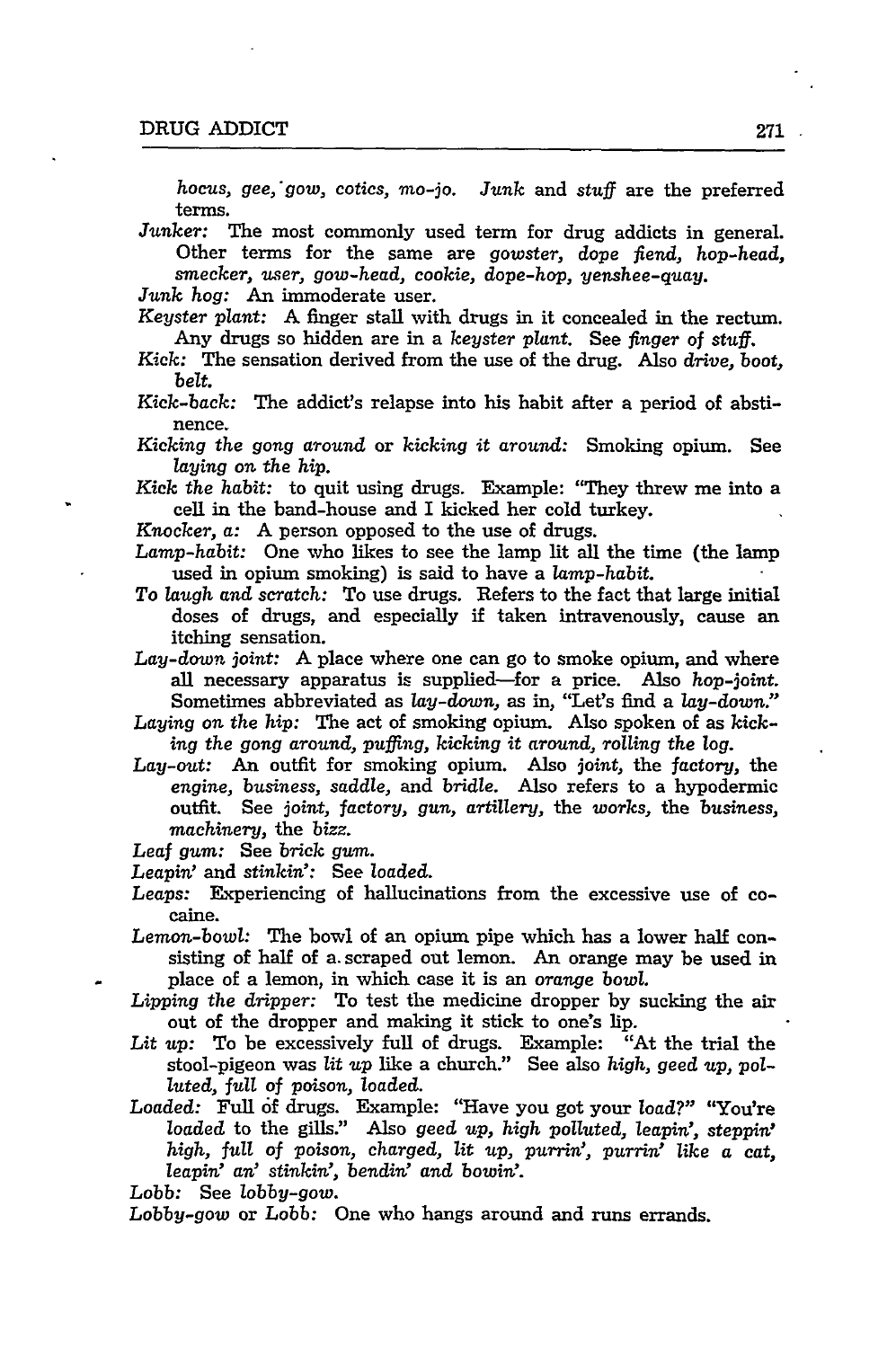*hocus, gee,'gow, cotics,* mo-jo. *Junk* and stuff are the preferred terms.

*Junker:* The most commonly used term for drug addicts in general. Other terms for the same are *gowster,* dope fiend, hop-head, smecker, *user, gow-head,* cookie, dope-hop, *yenshee-quay.*

*Junk hog:* An immoderate user.

Keyster *plant:* A finger stall with drugs in it concealed in the rectum. Any drugs so hidden are in a keyster plant. See *finger of stuff.*

Kick: The sensation derived from the use of the drug. Also *drive,* boot, *belt.*

- Kick-back: The addict's relapse into his habit after a period of abstinence.
- *Kicking the gong* around or *kicking it around:* Smoking opium. See *laying on the hip.*

*Kick the habit:* to quit using drugs. Example: "They threw me into a cell in the band-house and I kicked her cold turkey.

Knocker, a: A person opposed to the use of drugs.

- *Lamp-habit:* One who likes to see the lamp lit all the time (the lamp used in opium smoking) is said to have a *lamp-habit.*
- To *laugh and* scratch: To use drugs. Refers to the fact that large initial doses of drugs, and especially if taken intravenously, cause an itching sensation.
- *Lay-down joint:* A place where one can go to smoke opium, and where all necessary apparatus is supplied-for a price. Also *hop-joint.* Sometimes abbreviated as *lay-down,* as in, "Let's find a *lay-down."*
- *Laying on the hip:* The act of smoking opium. Also spoken of as *kicking the gong around, pufing, kicking it around, rolling the log.*
- *Lay-out:* An outfit for smoking opium. Also *joint,* the factory, the *engine, business, saddle,* and *bridle.* Also refers to a hypodermic outfit. See joint, *factory, gun, artillery,* the *works,* the business, *machinery,* the *bizz.*

Leaf *gum:* See *brick gum.*

*Leapin'* and *stinkin':* See *loaded.*

- *Leaps:* Experiencing of hallucinations from the excessive use of cocaine.
- *Lemon-bowl:* The bowl of an opium pipe which has a lower half consisting of half of a. scraped out lemon. An orange may be used in place of a lemon, in which case it is an *orange bowl.*
- *Lipping the* dripper: To test the medicine dropper by sucking the air out of the dropper and making it stick to one's lip.
- *Lit up:* To be excessively full of drugs. Example: "At the trial the stool-pigeon was *lit* up like a church." See also *high, geed up, polluted,* full of poison, loaded.
- *Loaded:* Full of drugs. Example: "Have you got your load?" "You're loaded to the gills." Also geed up, *high polluted,* leapin', steppin" *high, full* of poison, *charged, lit up, purrin', purrin' like a cat, leapin' an' stinkin',* bendin' and *bowin'.*

*Lobb:* See *lobby-gow.*

*Lobby-gow* or *Lobb:* One who hangs around and runs errands.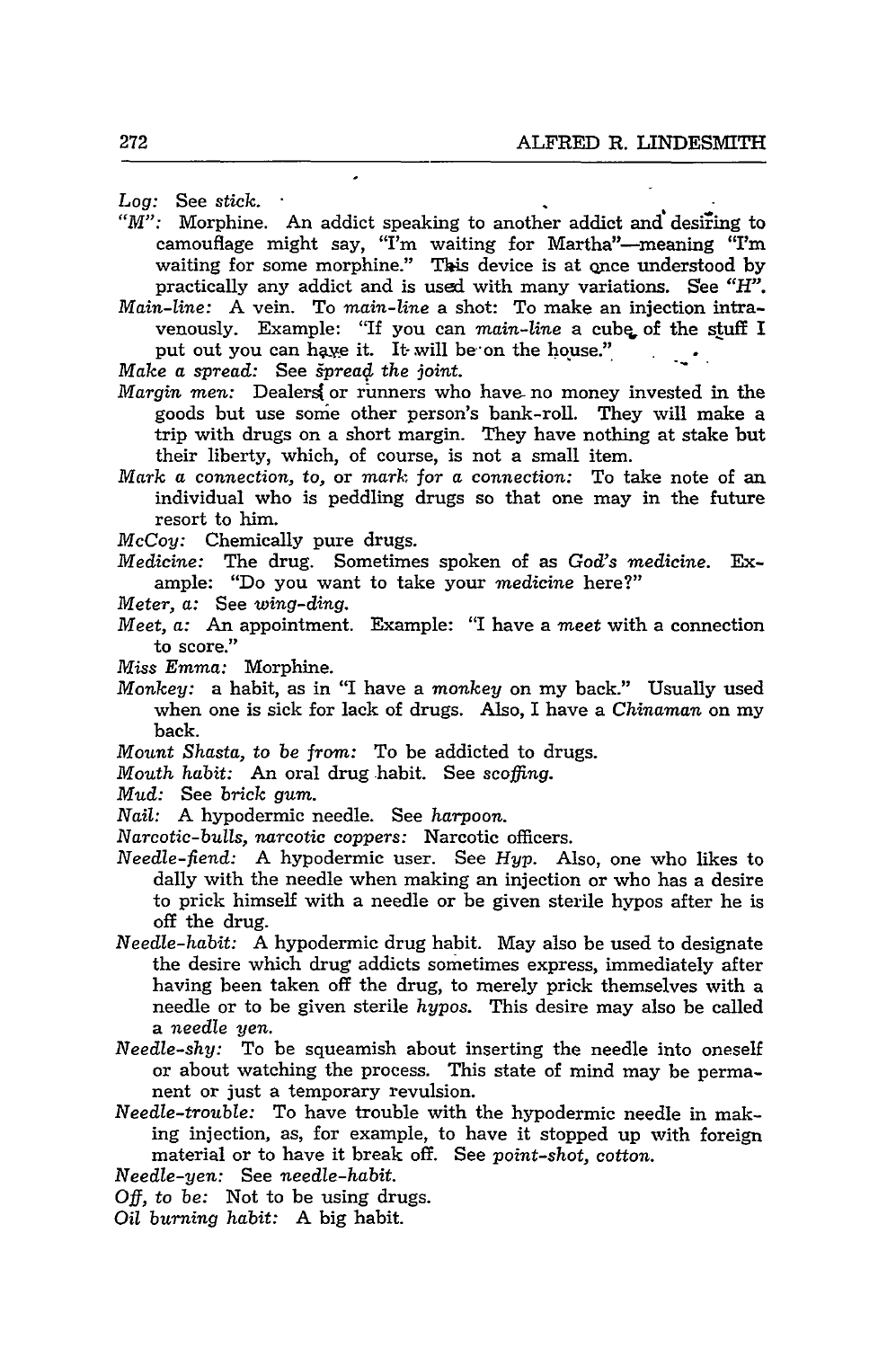*Log:* See *stick.*

- *"M":* Morphine. An addict speaking to another addict and desiring to camouflage might say, "I'm waiting for Martha"-meaning "I'm waiting for some morphine." This device is at once understood by practically any addict and is used with many variations. See *"H".*
- *Main-line:* A vein. To *main-line* a shot: To make an injection intravenously. Example: "If you can *main-line* a cube of the stuff I put out you can have it. It will be on the house."

*Make a* spread: See *§prea4 the* joint.

- *Margin men:* Dealers( or runners who have- no money invested in the goods but use sonie other person's bank-roll. They will make a trip with drugs on a short margin. They have nothing at stake but their liberty, which, of course, is not a small item.
- *Mark a connection,* to, or *mark for a connection:* To take note of an individual who is peddling drugs so that one may in the future resort to him.

*McCoy:* Chemically pure drugs.

*Medicine:* The drug. Sometimes spoken of as God's *medicine.* Example: "Do you want to take your *medicine* here?"

- *Meter,* a: See *wing-ding.*
- *Meet,* a: *An* appointment. Example: "I have a *meet* with a connection to score."
- *Miss Emma:* Morphine.
- *Monkey:* a habit, as in "I have a *monkey* on my back." Usually used when one is sick for lack of drugs. Also, I have a *Chinaman* on my back.
- *Mount Shasta, to be from:* To be addicted to drugs.
- *Mouth habit:* An oral drug habit. See scoffing.
- *Mud:* See *brick gum.*
- *Nail:* A hypodermic needle. See *harpoon.*

*Narcotic-bulls, narcotic coppers:* Narcotic officers.

- *Needle-fiend:* A hypodermic user. See *Hyp.* Also, one who likes to dally with the needle when making an injection or who has a desire to prick himself with a needle or be given sterile hypos after he is off the drug.
- *Needle-habit:* A hypodermic drug habit. May also be used to designate the desire which drug addicts sometimes express, immediately after having been taken off the drug, to merely prick themselves with a needle or to be given sterile *hypos.* This desire may also be called a *needle yen.*
- *Needle-shy:* To be squeamish about inserting the needle into oneself or about watching the process. This state of mind may be permanent or just a temporary revulsion.
- *Needle-trouble:* To have trouble with the hypodermic needle in making injection, as, for example, to have it stopped up with foreign material or to have it break off. See *point-shot,* cotton.

*Needle-yen:* See *needle-habit.*

**Off,** to *be:* Not to be using drugs.

*Oil burning habit:* A big habit.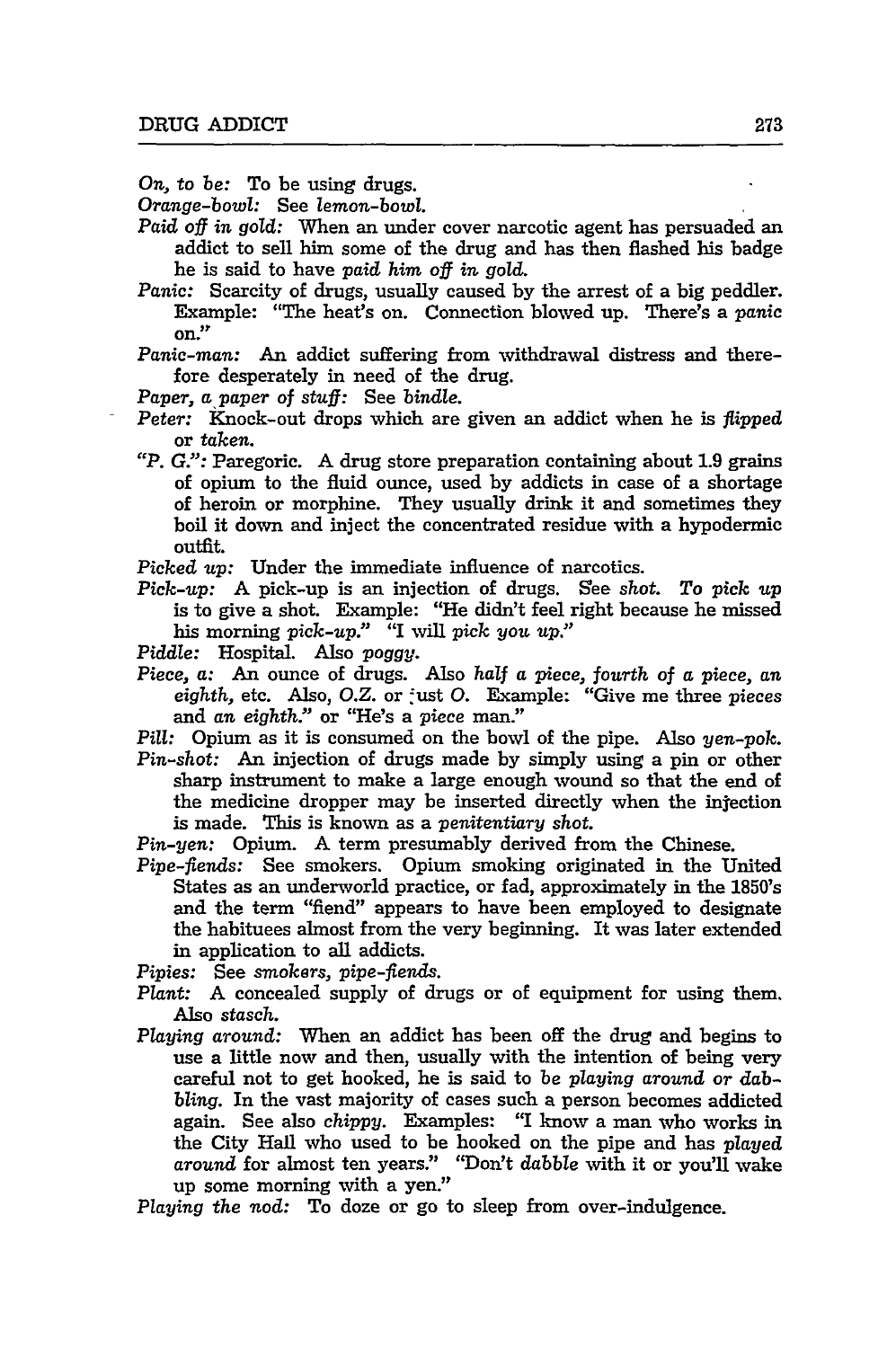*On,* to be: To be using drugs.

*Orange-bowl:* See lemon-bowl.

- *Paid off in gold:* When an under cover narcotic agent has persuaded an addict to sell him some of the drug and has then flashed his badge he is said to have paid *him off in gold.*
- *Panic:* Scarcity of drugs, usually caused by the arrest of a big peddler. Example: "The heat's on. Connection blowed up. There's a *panic* on."

*Panic-man:* An addict suffering from withdrawal distress and therefore desperately in need of the drug.

- *Paper, a* paper of stuff: See bindle.
- *Peter:* Knock-out drops which are given an addict when he is *flipped* or *taken.*
- *"P. G.":* Paregoric. A drug store preparation containing about 1.9 grains of opium to the fluid ounce, used by addicts in case of a shortage of heroin or morphine. They usually drink it and sometimes they boil it down and inject the concentrated residue with a hypodermic outfit.

*Picked up:* Under the immediate influence of narcotics.

- *Pick-up:* A pick-up is an injection of drugs. See *shot. To pick up* is to give a shot. Example: "He didn't feel right because he missed his morning *pick-up."* "I will pick *you up."*
- Piddle: Hospital. Also poggy.
- Piece, a: An ounce of drugs. Also *half* a piece, *fourth* of a piece, *an* eighth, etc. Also, O.Z. or just O. Example: "Give me three pieces and *an eighth."* or "He's a piece man."
- *Pill:* Opium as it is consumed on the bowl of the pipe. Also yen-pok.
- *Pin-shot:* An injection of drugs made by simply using a pin or other sharp instrument to make a large enough wound so that the end of the medicine dropper may be inserted directly when the injection is made. This is known as a *penitentiary shot.*

*Pin-yen:* Opium. A term presumably derived from the Chinese.

Pipe-fiends: See smokers. Opium smoking originated in the United States as an underworld practice, or fad, approximately in the 1850's and the term "fiend" appears to have been employed to designate the habituees almost from the very beginning. It was later extended in application to all addicts.

Pipies: See *smokers, pipe-fiends.*

- *Plant:* A concealed supply of drugs or of equipment for using them. Also stasch.
- *Playing around:* When an addict has been off the drug and begins to use a little now and then, usually with the intention of being very careful not to get hooked, he is said to be *playing around* or dabbling. In the vast majority of cases such a person becomes addicted again. See also *chippy.* Examples: "I know a man who works in the City Hall who used to be hooked on the pipe and has *played around* for almost ten years." "Don't dabble with it or you'll wake up some morning with a yen."

*Playing the nod:* To doze or go to sleep from over-indulgence.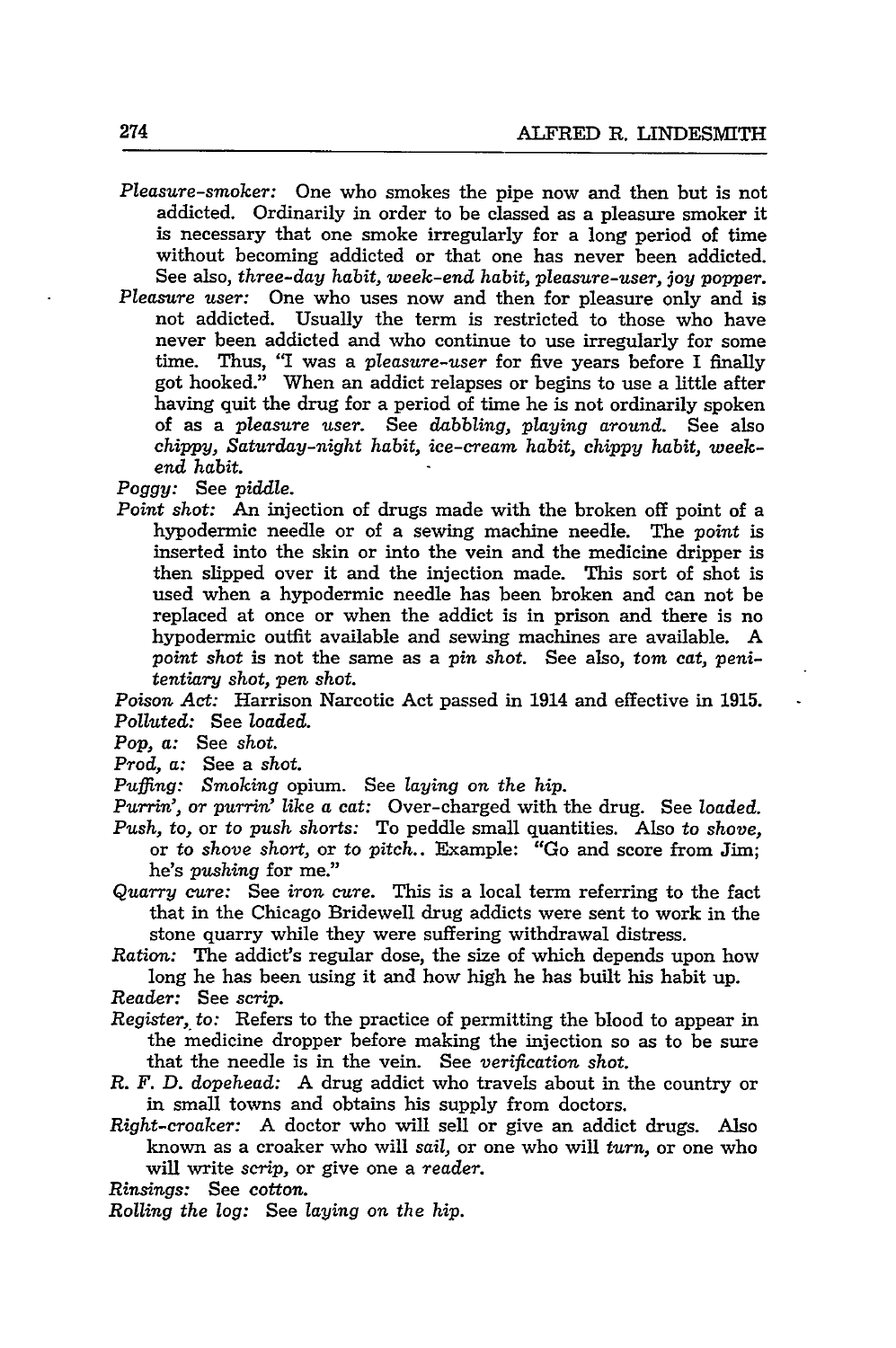- *Pleasure-smoker:* One who smokes the pipe now and then but is not addicted. Ordinarily in order to be classed as a pleasure smoker it is necessary that one smoke irregularly for a long period of time without becoming addicted or that one has never been addicted. See also, *three-day habit, week-end habit, pleasure-user, joy popper.*
- *Pleasure user:* One who uses now and then for pleasure only and is not addicted. Usually the term is restricted to those who have never been addicted and who continue to use irregularly for some time. Thus, "I was a *pleasure-user* for five years before I finally got hooked." When an addict relapses or begins to use a little after having quit the drug for a period of time he is not ordinarily spoken of as a *pleasure user.* See *dabbling, playing around.* See also *chippy, Saturday-night habit, ice-cream habit, chippy habit, weekend habit.*

*Poggy:* See *piddle.*

*Point shot:* An injection of drugs made with the broken off point of a hypodermic needle or of a sewing machine needle. The *point* is inserted into the skin or into the vein and the medicine dripper is then slipped over it and the injection made. This sort of shot is used when a hypodermic needle has been broken and can not be replaced at once or when the addict is in prison and there is no hypodermic outfit available and sewing machines are available. A *point shot* is not the same as a *pin shot.* See also, *tom cat, penitentiary shot, pen shot.*

Poison *Act:* Harrison Narcotic Act passed in 1914 and effective in **1915.** *Polluted:* See *loaded.*

*Pop, a:* See *shot.*

*Prod, a:* See a *shot.*

*Puffing: Smoking* opium. See *laying on the hip.*

*Purrin',* or *purrin" like a cat:* Over-charged with the drug. See *loaded.*

- *Push,* to, or to *push* shorts: To peddle small quantities. Also to *shove,* or to *shove short,* or to *pitch..* Example: "Go and score from Jim; he's *pushing* for me."
- *Quarry cure:* See *iron cure.* This is a local term referring to the fact that in the Chicago Bridewell drug addicts were sent to work in the stone quarry while they were suffering withdrawal distress.
- *Ration:* The addict's regular dose, the size of which depends upon how long he has been using it and how high he has built his habit up.
- *Reader:* See scrip.
- *Register, to:* Refers to the practice of permitting the blood to appear in the medicine dropper before making the injection so as to be sure that the needle is in the vein. See *verification shot.*
- *R. F. D. dopehead:* A drug addict who travels about in the country or in small towns and obtains his supply from doctors.
- *Right-croaker:* A doctor who will sell or give an addict drugs. Also known as a croaker who will *sail,* or one who will *turn,* or one who will write scrip, or give one a *reader.*
- *Rinsings:* See cotton.

*Rolling the log:* See *laying on the hip.*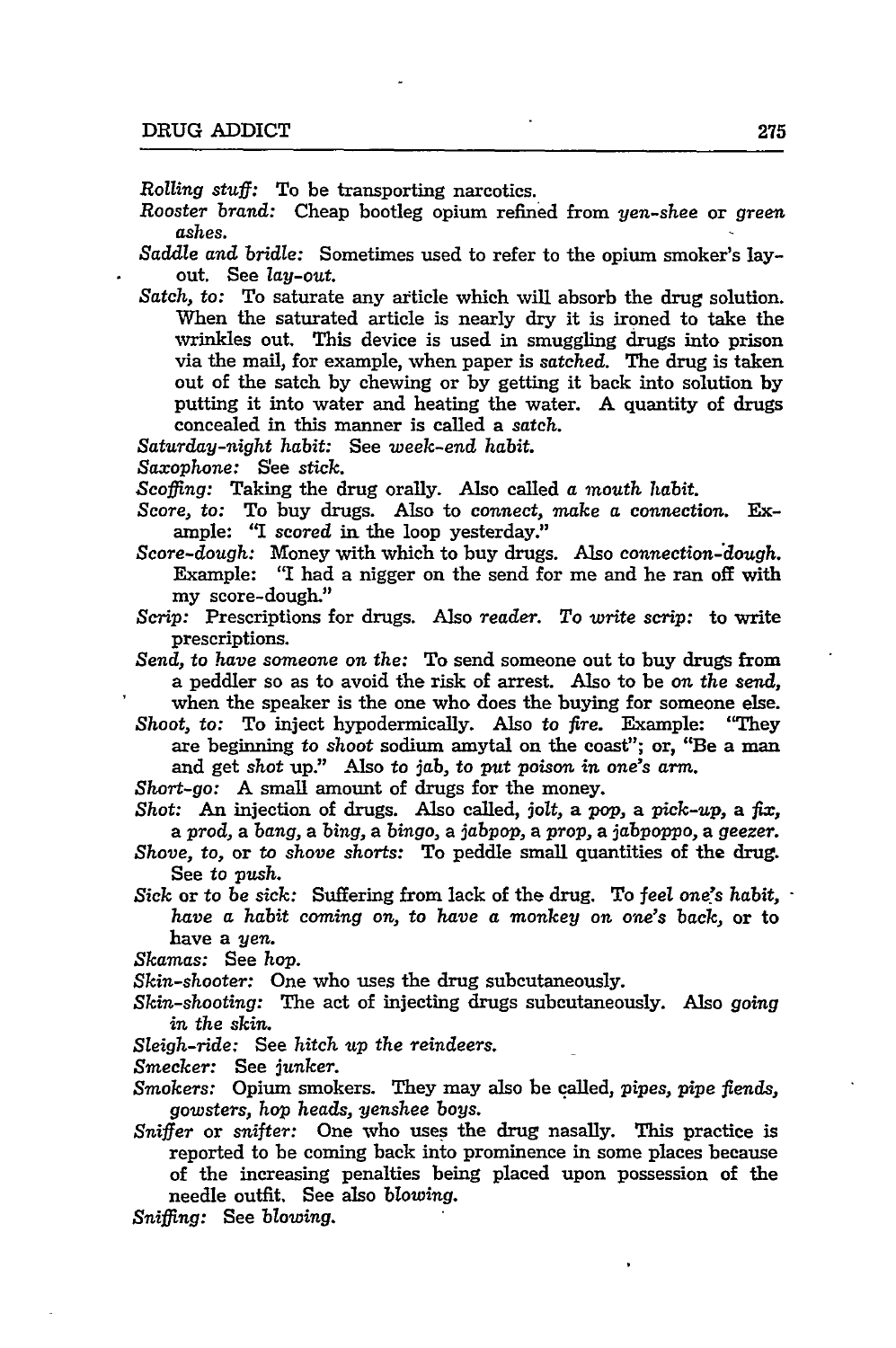*Rolling* stuff: To be transporting narcotics.

*Rooster brand:* Cheap bootleg opium refined from *yen-shee* or *green ashes.*

*Saddle and bridle:* Sometimes used to refer to the opium smoker's layout. See *lay-out.*

*Satch, to:* To saturate any article which will absorb the drug solution. When the saturated article is nearly dry it is ironed to take the wrinkles out. This device is used in smuggling drugs into prison via the mail, for example, when paper is *satched.* The drug is taken out of the satch by chewing or by getting it back into solution by putting it into water and heating the water. A quantity of drugs concealed in this manner is called a satch.

*Saturday-night habit:* See *week-end habit.*

*Saxophone:* See *stick.*

Scoffing: Taking the drug orally. Also called *a mouth habit.*

Score, to: To buy drugs. Also to connect, make *a* connection. **Ex**ample: **"I** scored in the loop yesterday."

*Score-dough:* Money with which to buy drugs. Also *connection-dough.* Example: "I had a nigger on the send for me and he ran off with my score-dough."

Scrip: Prescriptions for drugs. Also reader. *To write scrip:* to write prescriptions.

*Send,* to have someone on the: To send someone out to buy drugs from a peddler so as to avoid the risk of arrest. Also to be on the send, when the speaker is the one who does the buying for someone else.

*Shoot,* to: To inject hypodermically. Also to *fire.* Example: "They are beginning to shoot sodium amytal on the coast"; or, "Be a man and get shot up." Also to jab, to put poison *in* one's *arm.*

*Short-go:* A small amount of drugs for the money.

*Shot:* An injection of drugs. Also called, jolt, a pop, a *pick-up,* a *fix,* a prod, a *bang,* a *bing,* a *bingo,* a *jabpop,* a prop, a jabpoppo, a *geezer.*

- *Shove,* to, or to *shove* shorts: To peddle small quantities of the drug. See to push.
- *Sick* or to *be* sick: Suffering from lack of the drug. To feel one's habit, *have a habit coming* on, to *have a* monkey on one's back, or to have a yen.

*Skamas:* See hop.

*Skin-shooter:* One who uses the drug subcutaneously.

*Skin-shooting:* The act of injecting drugs subcutaneously. Also *going* in the skin.

*Sleigh-ride:* See *hitch up* the *reindeers.*

Smecker: See *junker.*

*Smokers:* Opium smokers. They may also be called, *pipes, pipe* fiends, gowsters, hop heads, yenshee boys.

*Sniffer* or *snifter:* One who uses the drug nasally. This practice is reported to be coming back into prominence in some places because of the increasing penalties being placed upon possession of the needle outfit. See also *blowing.*

*Sniffing:* See *blowing.*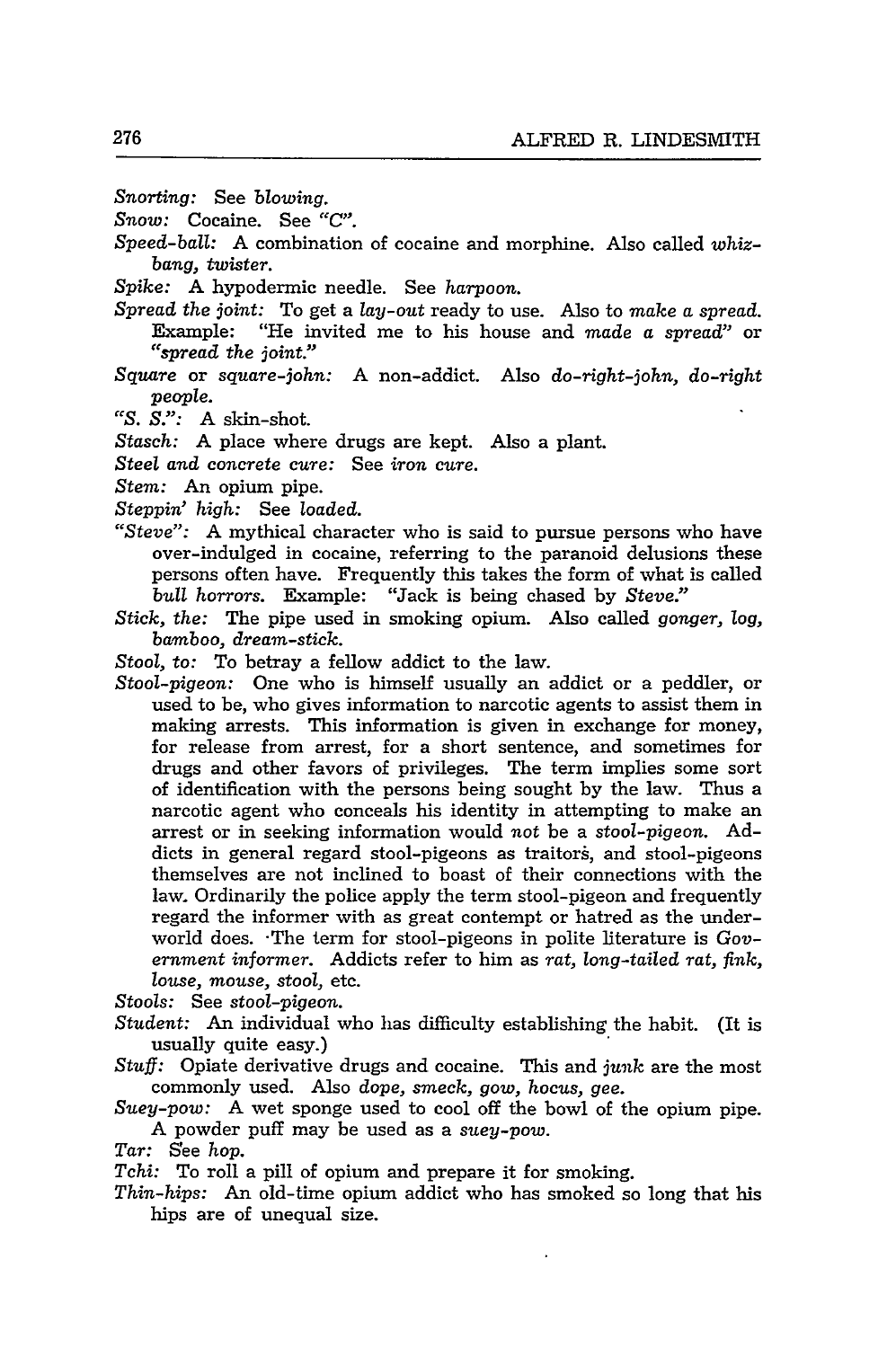- *Snorting:* See *blowing.*
- *Snow:* Cocaine. See "C".
- *Speed-ball:* A combination of cocaine and morphine. Also called *whizbang, twister.*
- *Spike:* A hypodermic needle. See *harpoon.*
- *Spread the joint:* To get a *lay-out* ready to use. Also to *make a spread.* Example: "He invited me to his house and *made a spread"* or *"spread the joint."*
- *Square* or *square-john:* A non-addict. Also *do-right-john, do-right people.*
- *"S. S.":* A skin-shot.
- *Stasch:* A place where drugs are kept. Also a plant.
- *Steel and concrete cure:* See *iron cure.*
- *Stem:* An opium pipe.
- *Steppin' high:* See *loaded.*
- *"Steve":* A mythical character who is said to pursue persons who have over-indulged in cocaine, referring to the paranoid delusions these persons often have. Frequently this takes the form of what is called *bull horrors.* Example: "Jack is being chased by *Steve."*
- *Stick, the:* The pipe used in smoking opium. Also called *gonger, log, barmboo, dream-stick.*
- *Stool, to:* To betray a fellow addict to the law.
- *Stool-pigeon:* One who is himself usually an addict or a peddler, or used to be, who gives information to narcotic agents to assist them in making arrests. This information is given in exchange for money, for release from arrest, for a short sentence, and sometimes for drugs and other favors of privileges. The term implies some sort of identification with the persons being sought by the law. Thus a narcotic agent who conceals his identity in attempting to make an arrest or in seeking information would *not* be a *stool-pigeon.* Addicts in general regard stool-pigeons as traitors, and stool-pigeons themselves are not inclined to boast of their connections with the law. Ordinarily the police apply the term stool-pigeon and frequently regard the informer with as great contempt or hatred as the underworld does. -The term for stool-pigeons in polite literature is *Government informer.* Addicts refer to him as *rat, long-tailed rat, fink, louse, mouse, stool,* etc.

*Stools:* See *stool-pigeon.*

- *Student:* An individual who has difficulty establishing the habit. (It is usually quite easy.)
- *Stuff:* Opiate derivative drugs and cocaine. This and *junk* are the most commonly used. Also *dope, smeck, gow, hocus, gee.*
- *Suey-pow:* A wet sponge used to cool off the bowl of the opium pipe. A powder puff may be used as a *suey-pow.*
- *Tar:* See *hop.*
- *Tchi:* To roll a pill of opium and prepare it for smoking.
- *Thin-hips:* An old-time opium addict who has smoked so long that his hips are of unequal size.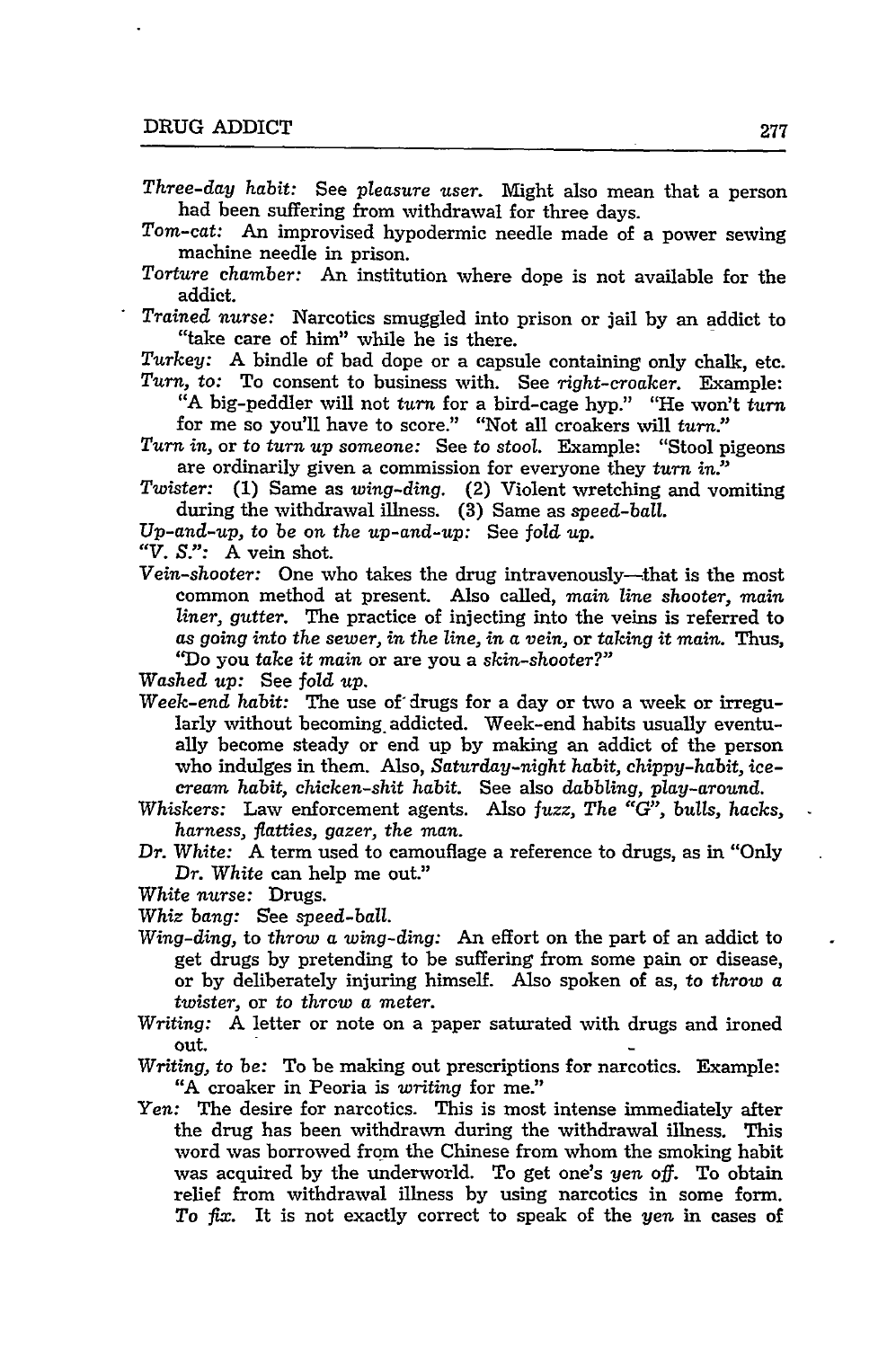- *Three-day habit:* See *pleasure user.* Might also mean that a person had been suffering from withdrawal for three days.
- *Tom-cat:* An improvised hypodermic needle made of a power sewing machine needle in prison.
- *Torture chamber:* An institution where dope is not available for the addict.
- *Trained nurse:* Narcotics smuggled into prison or jail by an addict to "take care of him" while he is there.
- *Turkey:* A bindle of bad dope or a capsule containing only chalk, etc. *Turn, to:* To consent to business with. See *right-croaker.* Example:
	- "A big-peddler will not *turn* for a bird-cage hyp." "He won't turn for me so you'll have to score." "Not all croakers will turn."
- *Turn in,* or to *turn up someone:* See to stool. Example: "Stool pigeons are ordinarily given a commission for everyone they *turn in."*
- *Twister:* **(1)** Same as *wing-ding.* (2) Violent wretching and vomiting during the withdrawal illness. (3) Same as *speed-ball.*
- *Up-and-up, to be on the up-and-up:* See fold *up.*
- *"V. S.":* A vein shot.
- *Vein-shooter:* One who takes the drug intravenously- that is the most common method at present. Also called, *main line shooter, main liner, gutter.* The practice of injecting into the veins is referred to *as going into the sewer, in the line, in a vein,* or *taking it main.* Thus, 'Do you *take it main* or are you a *skin-shooter?"*

*Washed up:* See *fold up.*

- *Week-end habit:* The use of' drugs for a day or two a week or irregularly without becoming. addicted. Week-end habits usually eventually become steady or end up by making an addict of the person who indulges in them. Also, *Saturday-night habit, chippy-habit, icecream habit, chicken-shit habit.* See also *dabbling, play-around.*
- Whiskers: Law enforcement agents. Also *fuzz, The "G", bulls, hacks, harness, fiatties, gazer, the man.*
- Dr. White: A term used to camouflage a reference to drugs, as in "Only *Dr. White* can help me out."
- *White nurse:* Drugs.
- *Whiz bang:* See *speed-ball.*
- *Wing-ding,* to *throw a wing-ding:* An effort on the part of an addict to get drugs by pretending to be suffering from some pain or disease, or by deliberately injuring himself. Also spoken of as, to *throw a twister,* or to *throw a meter.*
- *Writing:* A letter or note on a paper saturated with drugs and ironed out.
- *Writing, to be:* To be making out prescriptions for narcotics. Example: "A croaker in Peoria is *writing* for me."
- *Yen:* The desire for narcotics. This is most intense immediately after the drug has been withdrawn during the withdrawal illness. This word was borrowed from the Chinese from whom the smoking habit was acquired by the underworld. To get one's *yen* off. To obtain relief from withdrawal illness by using narcotics in some form. *To* fix. It is not exactly correct to speak of the *yen* in cases of